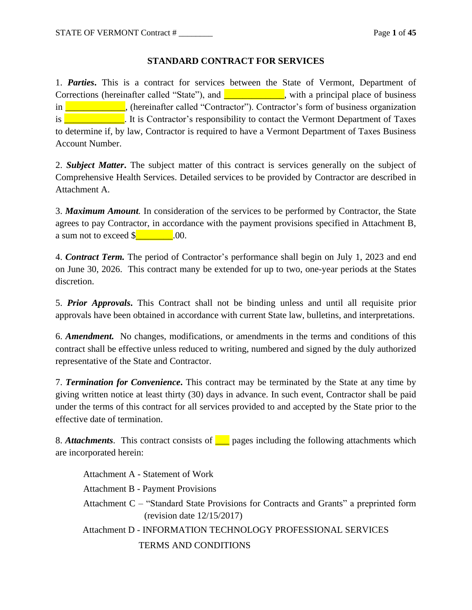## **STANDARD CONTRACT FOR SERVICES**

1. *Parties***.** This is a contract for services between the State of Vermont, Department of Corrections (hereinafter called "State"), and  $\blacksquare$ , with a principal place of business in **Exercise 1.** (hereinafter called "Contractor"). Contractor's form of business organization is **Example 20.** It is Contractor's responsibility to contact the Vermont Department of Taxes to determine if, by law, Contractor is required to have a Vermont Department of Taxes Business Account Number.

2. *Subject Matter***.** The subject matter of this contract is services generally on the subject of Comprehensive Health Services. Detailed services to be provided by Contractor are described in Attachment A.

3. *Maximum Amount.* In consideration of the services to be performed by Contractor, the State agrees to pay Contractor, in accordance with the payment provisions specified in Attachment B, a sum not to exceed \$\_\_\_\_\_\_\_\_.00.

4. *Contract Term.* The period of Contractor's performance shall begin on July 1, 2023 and end on June 30, 2026. This contract many be extended for up to two, one-year periods at the States discretion.

5. *Prior Approvals***.** This Contract shall not be binding unless and until all requisite prior approvals have been obtained in accordance with current State law, bulletins, and interpretations.

6. *Amendment.* No changes, modifications, or amendments in the terms and conditions of this contract shall be effective unless reduced to writing, numbered and signed by the duly authorized representative of the State and Contractor.

7. *Termination for Convenience***.** This contract may be terminated by the State at any time by giving written notice at least thirty (30) days in advance. In such event, Contractor shall be paid under the terms of this contract for all services provided to and accepted by the State prior to the effective date of termination.

8. **Attachments**. This contract consists of <u>seem</u> pages including the following attachments which are incorporated herein:

| Attachment A - Statement of Work                                                                                       |
|------------------------------------------------------------------------------------------------------------------------|
| <b>Attachment B - Payment Provisions</b>                                                                               |
| Attachment C – "Standard State Provisions for Contracts and Grants" a preprinted form<br>(revision date $12/15/2017$ ) |
| Attachment D - INFORMATION TECHNOLOGY PROFESSIONAL SERVICES                                                            |
| <b>TERMS AND CONDITIONS</b>                                                                                            |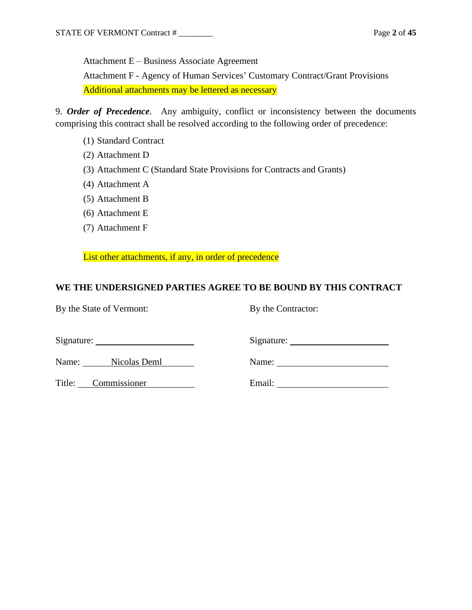Attachment E – Business Associate Agreement

Attachment F - Agency of Human Services' Customary Contract/Grant Provisions Additional attachments may be lettered as necessary

9. *Order of Precedence.* Any ambiguity, conflict or inconsistency between the documents comprising this contract shall be resolved according to the following order of precedence:

- (1) Standard Contract
- (2) Attachment D
- (3) Attachment C (Standard State Provisions for Contracts and Grants)
- (4) Attachment A
- (5) Attachment B
- (6) Attachment E
- (7) Attachment F

List other attachments, if any, in order of precedence

## **WE THE UNDERSIGNED PARTIES AGREE TO BE BOUND BY THIS CONTRACT**

By the State of Vermont: By the Contractor:

| Signature: |              | Signature: |  |
|------------|--------------|------------|--|
| Name:      | Nicolas Deml | Name:      |  |
| Title:     | Commissioner | Email:     |  |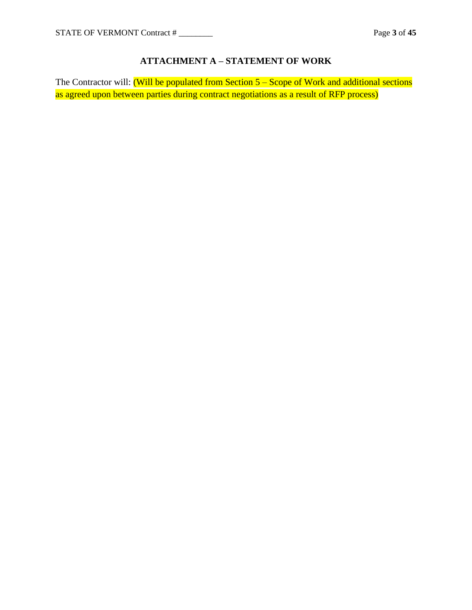# **ATTACHMENT A – STATEMENT OF WORK**

The Contractor will: (Will be populated from Section 5 – Scope of Work and additional sections as agreed upon between parties during contract negotiations as a result of RFP process)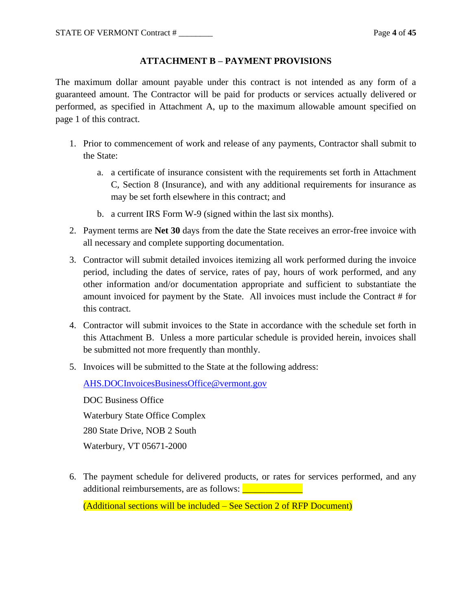## **ATTACHMENT B – PAYMENT PROVISIONS**

The maximum dollar amount payable under this contract is not intended as any form of a guaranteed amount. The Contractor will be paid for products or services actually delivered or performed, as specified in Attachment A, up to the maximum allowable amount specified on page 1 of this contract.

- 1. Prior to commencement of work and release of any payments, Contractor shall submit to the State:
	- a. a certificate of insurance consistent with the requirements set forth in Attachment C, Section 8 (Insurance), and with any additional requirements for insurance as may be set forth elsewhere in this contract; and
	- b. a current IRS Form W-9 (signed within the last six months).
- 2. Payment terms are **Net 30** days from the date the State receives an error-free invoice with all necessary and complete supporting documentation.
- 3. Contractor will submit detailed invoices itemizing all work performed during the invoice period, including the dates of service, rates of pay, hours of work performed, and any other information and/or documentation appropriate and sufficient to substantiate the amount invoiced for payment by the State. All invoices must include the Contract # for this contract.
- 4. Contractor will submit invoices to the State in accordance with the schedule set forth in this Attachment B. Unless a more particular schedule is provided herein, invoices shall be submitted not more frequently than monthly.
- 5. Invoices will be submitted to the State at the following address:

[AHS.DOCInvoicesBusinessOffice@vermont.gov](mailto:AHS.DOCInvoicesBusinessOffice@vermont.gov)

DOC Business Office Waterbury State Office Complex 280 State Drive, NOB 2 South Waterbury, VT 05671-2000

6. The payment schedule for delivered products, or rates for services performed, and any additional reimbursements, are as follows: **Exercise** 

(Additional sections will be included – See Section 2 of RFP Document)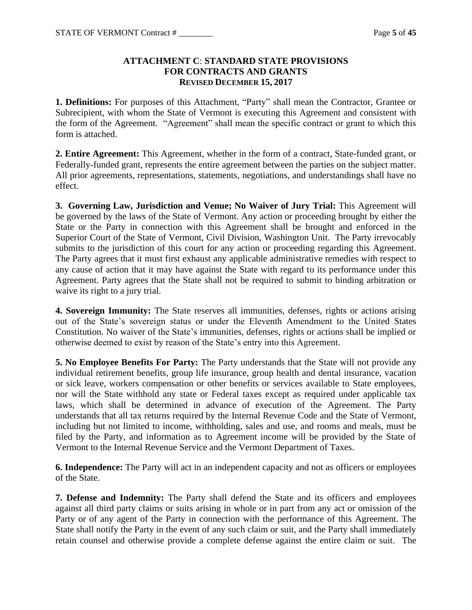## **ATTACHMENT C**: **STANDARD STATE PROVISIONS FOR CONTRACTS AND GRANTS REVISED DECEMBER 15, 2017**

**1. Definitions:** For purposes of this Attachment, "Party" shall mean the Contractor, Grantee or Subrecipient, with whom the State of Vermont is executing this Agreement and consistent with the form of the Agreement. "Agreement" shall mean the specific contract or grant to which this form is attached.

**2. Entire Agreement:** This Agreement, whether in the form of a contract, State-funded grant, or Federally-funded grant, represents the entire agreement between the parties on the subject matter. All prior agreements, representations, statements, negotiations, and understandings shall have no effect.

**3. Governing Law, Jurisdiction and Venue; No Waiver of Jury Trial:** This Agreement will be governed by the laws of the State of Vermont. Any action or proceeding brought by either the State or the Party in connection with this Agreement shall be brought and enforced in the Superior Court of the State of Vermont, Civil Division, Washington Unit. The Party irrevocably submits to the jurisdiction of this court for any action or proceeding regarding this Agreement. The Party agrees that it must first exhaust any applicable administrative remedies with respect to any cause of action that it may have against the State with regard to its performance under this Agreement. Party agrees that the State shall not be required to submit to binding arbitration or waive its right to a jury trial.

**4. Sovereign Immunity:** The State reserves all immunities, defenses, rights or actions arising out of the State's sovereign status or under the Eleventh Amendment to the United States Constitution. No waiver of the State's immunities, defenses, rights or actions shall be implied or otherwise deemed to exist by reason of the State's entry into this Agreement.

**5. No Employee Benefits For Party:** The Party understands that the State will not provide any individual retirement benefits, group life insurance, group health and dental insurance, vacation or sick leave, workers compensation or other benefits or services available to State employees, nor will the State withhold any state or Federal taxes except as required under applicable tax laws, which shall be determined in advance of execution of the Agreement. The Party understands that all tax returns required by the Internal Revenue Code and the State of Vermont, including but not limited to income, withholding, sales and use, and rooms and meals, must be filed by the Party, and information as to Agreement income will be provided by the State of Vermont to the Internal Revenue Service and the Vermont Department of Taxes.

**6. Independence:** The Party will act in an independent capacity and not as officers or employees of the State.

**7. Defense and Indemnity:** The Party shall defend the State and its officers and employees against all third party claims or suits arising in whole or in part from any act or omission of the Party or of any agent of the Party in connection with the performance of this Agreement. The State shall notify the Party in the event of any such claim or suit, and the Party shall immediately retain counsel and otherwise provide a complete defense against the entire claim or suit. The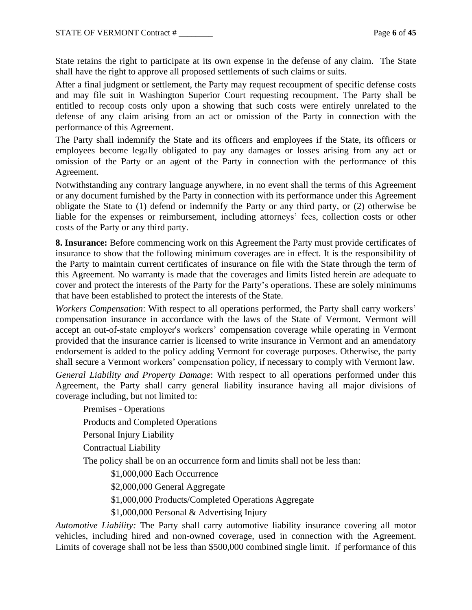State retains the right to participate at its own expense in the defense of any claim. The State shall have the right to approve all proposed settlements of such claims or suits.

After a final judgment or settlement, the Party may request recoupment of specific defense costs and may file suit in Washington Superior Court requesting recoupment. The Party shall be entitled to recoup costs only upon a showing that such costs were entirely unrelated to the defense of any claim arising from an act or omission of the Party in connection with the performance of this Agreement.

The Party shall indemnify the State and its officers and employees if the State, its officers or employees become legally obligated to pay any damages or losses arising from any act or omission of the Party or an agent of the Party in connection with the performance of this Agreement.

Notwithstanding any contrary language anywhere, in no event shall the terms of this Agreement or any document furnished by the Party in connection with its performance under this Agreement obligate the State to (1) defend or indemnify the Party or any third party, or (2) otherwise be liable for the expenses or reimbursement, including attorneys' fees, collection costs or other costs of the Party or any third party.

**8. Insurance:** Before commencing work on this Agreement the Party must provide certificates of insurance to show that the following minimum coverages are in effect. It is the responsibility of the Party to maintain current certificates of insurance on file with the State through the term of this Agreement. No warranty is made that the coverages and limits listed herein are adequate to cover and protect the interests of the Party for the Party's operations. These are solely minimums that have been established to protect the interests of the State.

*Workers Compensation*: With respect to all operations performed, the Party shall carry workers' compensation insurance in accordance with the laws of the State of Vermont. Vermont will accept an out-of-state employer's workers' compensation coverage while operating in Vermont provided that the insurance carrier is licensed to write insurance in Vermont and an amendatory endorsement is added to the policy adding Vermont for coverage purposes. Otherwise, the party shall secure a Vermont workers' compensation policy, if necessary to comply with Vermont law.

*General Liability and Property Damage*: With respect to all operations performed under this Agreement, the Party shall carry general liability insurance having all major divisions of coverage including, but not limited to:

Premises - Operations Products and Completed Operations Personal Injury Liability Contractual Liability

The policy shall be on an occurrence form and limits shall not be less than:

\$1,000,000 Each Occurrence

\$2,000,000 General Aggregate

\$1,000,000 Products/Completed Operations Aggregate

\$1,000,000 Personal & Advertising Injury

*Automotive Liability:* The Party shall carry automotive liability insurance covering all motor vehicles, including hired and non-owned coverage, used in connection with the Agreement. Limits of coverage shall not be less than \$500,000 combined single limit. If performance of this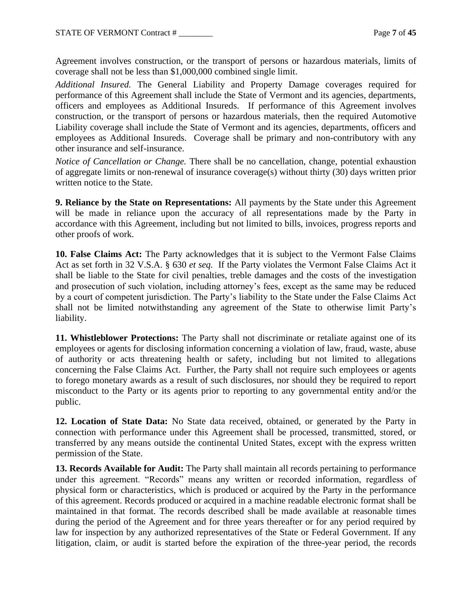Agreement involves construction, or the transport of persons or hazardous materials, limits of coverage shall not be less than \$1,000,000 combined single limit.

*Additional Insured.* The General Liability and Property Damage coverages required for performance of this Agreement shall include the State of Vermont and its agencies, departments, officers and employees as Additional Insureds. If performance of this Agreement involves construction, or the transport of persons or hazardous materials, then the required Automotive Liability coverage shall include the State of Vermont and its agencies, departments, officers and employees as Additional Insureds. Coverage shall be primary and non-contributory with any other insurance and self-insurance.

*Notice of Cancellation or Change.* There shall be no cancellation, change, potential exhaustion of aggregate limits or non-renewal of insurance coverage(s) without thirty (30) days written prior written notice to the State.

**9. Reliance by the State on Representations:** All payments by the State under this Agreement will be made in reliance upon the accuracy of all representations made by the Party in accordance with this Agreement, including but not limited to bills, invoices, progress reports and other proofs of work.

**10. False Claims Act:** The Party acknowledges that it is subject to the Vermont False Claims Act as set forth in 32 V.S.A. § 630 *et seq.* If the Party violates the Vermont False Claims Act it shall be liable to the State for civil penalties, treble damages and the costs of the investigation and prosecution of such violation, including attorney's fees, except as the same may be reduced by a court of competent jurisdiction. The Party's liability to the State under the False Claims Act shall not be limited notwithstanding any agreement of the State to otherwise limit Party's liability.

**11. Whistleblower Protections:** The Party shall not discriminate or retaliate against one of its employees or agents for disclosing information concerning a violation of law, fraud, waste, abuse of authority or acts threatening health or safety, including but not limited to allegations concerning the False Claims Act. Further, the Party shall not require such employees or agents to forego monetary awards as a result of such disclosures, nor should they be required to report misconduct to the Party or its agents prior to reporting to any governmental entity and/or the public.

**12. Location of State Data:** No State data received, obtained, or generated by the Party in connection with performance under this Agreement shall be processed, transmitted, stored, or transferred by any means outside the continental United States, except with the express written permission of the State.

**13. Records Available for Audit:** The Party shall maintain all records pertaining to performance under this agreement. "Records" means any written or recorded information, regardless of physical form or characteristics, which is produced or acquired by the Party in the performance of this agreement. Records produced or acquired in a machine readable electronic format shall be maintained in that format. The records described shall be made available at reasonable times during the period of the Agreement and for three years thereafter or for any period required by law for inspection by any authorized representatives of the State or Federal Government. If any litigation, claim, or audit is started before the expiration of the three-year period, the records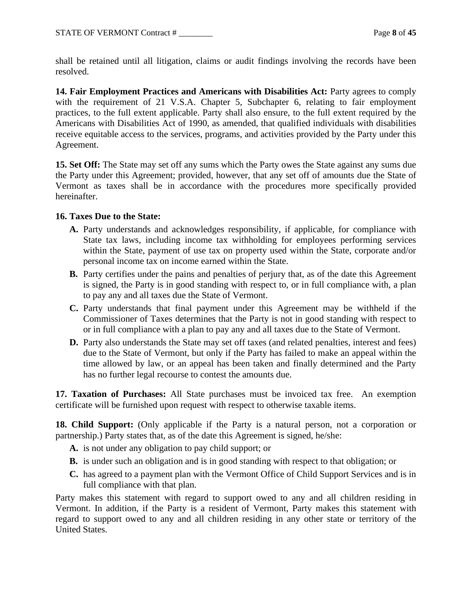shall be retained until all litigation, claims or audit findings involving the records have been resolved.

**14. Fair Employment Practices and Americans with Disabilities Act:** Party agrees to comply with the requirement of 21 V.S.A. Chapter 5, Subchapter 6, relating to fair employment practices, to the full extent applicable. Party shall also ensure, to the full extent required by the Americans with Disabilities Act of 1990, as amended, that qualified individuals with disabilities receive equitable access to the services, programs, and activities provided by the Party under this Agreement.

**15. Set Off:** The State may set off any sums which the Party owes the State against any sums due the Party under this Agreement; provided, however, that any set off of amounts due the State of Vermont as taxes shall be in accordance with the procedures more specifically provided hereinafter.

### **16. Taxes Due to the State:**

- **A.** Party understands and acknowledges responsibility, if applicable, for compliance with State tax laws, including income tax withholding for employees performing services within the State, payment of use tax on property used within the State, corporate and/or personal income tax on income earned within the State.
- **B.** Party certifies under the pains and penalties of perjury that, as of the date this Agreement is signed, the Party is in good standing with respect to, or in full compliance with, a plan to pay any and all taxes due the State of Vermont.
- **C.** Party understands that final payment under this Agreement may be withheld if the Commissioner of Taxes determines that the Party is not in good standing with respect to or in full compliance with a plan to pay any and all taxes due to the State of Vermont.
- **D.** Party also understands the State may set off taxes (and related penalties, interest and fees) due to the State of Vermont, but only if the Party has failed to make an appeal within the time allowed by law, or an appeal has been taken and finally determined and the Party has no further legal recourse to contest the amounts due.

**17. Taxation of Purchases:** All State purchases must be invoiced tax free. An exemption certificate will be furnished upon request with respect to otherwise taxable items.

**18. Child Support:** (Only applicable if the Party is a natural person, not a corporation or partnership.) Party states that, as of the date this Agreement is signed, he/she:

- **A.** is not under any obligation to pay child support; or
- **B.** is under such an obligation and is in good standing with respect to that obligation; or
- **C.** has agreed to a payment plan with the Vermont Office of Child Support Services and is in full compliance with that plan.

Party makes this statement with regard to support owed to any and all children residing in Vermont. In addition, if the Party is a resident of Vermont, Party makes this statement with regard to support owed to any and all children residing in any other state or territory of the United States.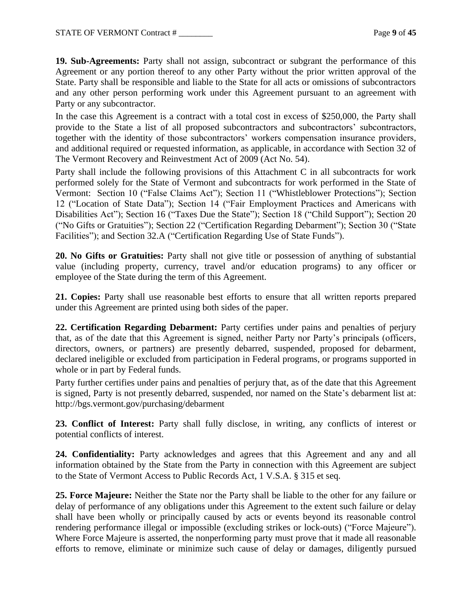**19. Sub-Agreements:** Party shall not assign, subcontract or subgrant the performance of this Agreement or any portion thereof to any other Party without the prior written approval of the State. Party shall be responsible and liable to the State for all acts or omissions of subcontractors and any other person performing work under this Agreement pursuant to an agreement with Party or any subcontractor.

In the case this Agreement is a contract with a total cost in excess of \$250,000, the Party shall provide to the State a list of all proposed subcontractors and subcontractors' subcontractors, together with the identity of those subcontractors' workers compensation insurance providers, and additional required or requested information, as applicable, in accordance with Section 32 of The Vermont Recovery and Reinvestment Act of 2009 (Act No. 54).

Party shall include the following provisions of this Attachment C in all subcontracts for work performed solely for the State of Vermont and subcontracts for work performed in the State of Vermont: Section 10 ("False Claims Act"); Section 11 ("Whistleblower Protections"); Section 12 ("Location of State Data"); Section 14 ("Fair Employment Practices and Americans with Disabilities Act"); Section 16 ("Taxes Due the State"); Section 18 ("Child Support"); Section 20 ("No Gifts or Gratuities"); Section 22 ("Certification Regarding Debarment"); Section 30 ("State Facilities"); and Section 32.A ("Certification Regarding Use of State Funds").

**20. No Gifts or Gratuities:** Party shall not give title or possession of anything of substantial value (including property, currency, travel and/or education programs) to any officer or employee of the State during the term of this Agreement.

**21. Copies:** Party shall use reasonable best efforts to ensure that all written reports prepared under this Agreement are printed using both sides of the paper.

**22. Certification Regarding Debarment:** Party certifies under pains and penalties of perjury that, as of the date that this Agreement is signed, neither Party nor Party's principals (officers, directors, owners, or partners) are presently debarred, suspended, proposed for debarment, declared ineligible or excluded from participation in Federal programs, or programs supported in whole or in part by Federal funds.

Party further certifies under pains and penalties of perjury that, as of the date that this Agreement is signed, Party is not presently debarred, suspended, nor named on the State's debarment list at: http://bgs.vermont.gov/purchasing/debarment

23. Conflict of Interest: Party shall fully disclose, in writing, any conflicts of interest or potential conflicts of interest.

**24. Confidentiality:** Party acknowledges and agrees that this Agreement and any and all information obtained by the State from the Party in connection with this Agreement are subject to the State of Vermont Access to Public Records Act, 1 V.S.A. § 315 et seq.

**25. Force Majeure:** Neither the State nor the Party shall be liable to the other for any failure or delay of performance of any obligations under this Agreement to the extent such failure or delay shall have been wholly or principally caused by acts or events beyond its reasonable control rendering performance illegal or impossible (excluding strikes or lock-outs) ("Force Majeure"). Where Force Majeure is asserted, the nonperforming party must prove that it made all reasonable efforts to remove, eliminate or minimize such cause of delay or damages, diligently pursued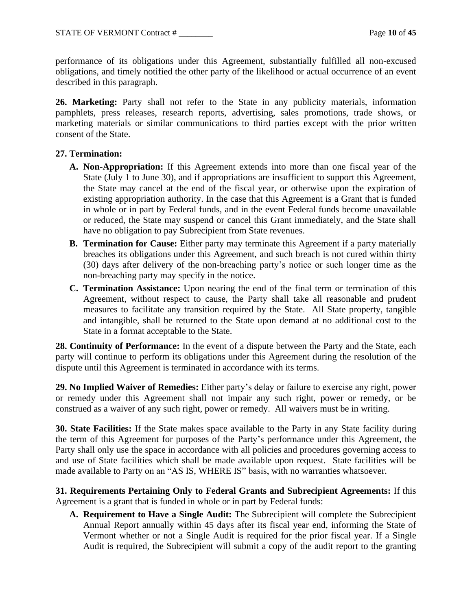performance of its obligations under this Agreement, substantially fulfilled all non-excused obligations, and timely notified the other party of the likelihood or actual occurrence of an event described in this paragraph.

**26. Marketing:** Party shall not refer to the State in any publicity materials, information pamphlets, press releases, research reports, advertising, sales promotions, trade shows, or marketing materials or similar communications to third parties except with the prior written consent of the State.

### **27. Termination:**

- **A. Non-Appropriation:** If this Agreement extends into more than one fiscal year of the State (July 1 to June 30), and if appropriations are insufficient to support this Agreement, the State may cancel at the end of the fiscal year, or otherwise upon the expiration of existing appropriation authority. In the case that this Agreement is a Grant that is funded in whole or in part by Federal funds, and in the event Federal funds become unavailable or reduced, the State may suspend or cancel this Grant immediately, and the State shall have no obligation to pay Subrecipient from State revenues.
- **B. Termination for Cause:** Either party may terminate this Agreement if a party materially breaches its obligations under this Agreement, and such breach is not cured within thirty (30) days after delivery of the non-breaching party's notice or such longer time as the non-breaching party may specify in the notice.
- **C. Termination Assistance:** Upon nearing the end of the final term or termination of this Agreement, without respect to cause, the Party shall take all reasonable and prudent measures to facilitate any transition required by the State. All State property, tangible and intangible, shall be returned to the State upon demand at no additional cost to the State in a format acceptable to the State.

**28. Continuity of Performance:** In the event of a dispute between the Party and the State, each party will continue to perform its obligations under this Agreement during the resolution of the dispute until this Agreement is terminated in accordance with its terms.

**29. No Implied Waiver of Remedies:** Either party's delay or failure to exercise any right, power or remedy under this Agreement shall not impair any such right, power or remedy, or be construed as a waiver of any such right, power or remedy. All waivers must be in writing.

**30. State Facilities:** If the State makes space available to the Party in any State facility during the term of this Agreement for purposes of the Party's performance under this Agreement, the Party shall only use the space in accordance with all policies and procedures governing access to and use of State facilities which shall be made available upon request. State facilities will be made available to Party on an "AS IS, WHERE IS" basis, with no warranties whatsoever.

**31. Requirements Pertaining Only to Federal Grants and Subrecipient Agreements:** If this Agreement is a grant that is funded in whole or in part by Federal funds:

**A. Requirement to Have a Single Audit:** The Subrecipient will complete the Subrecipient Annual Report annually within 45 days after its fiscal year end, informing the State of Vermont whether or not a Single Audit is required for the prior fiscal year. If a Single Audit is required, the Subrecipient will submit a copy of the audit report to the granting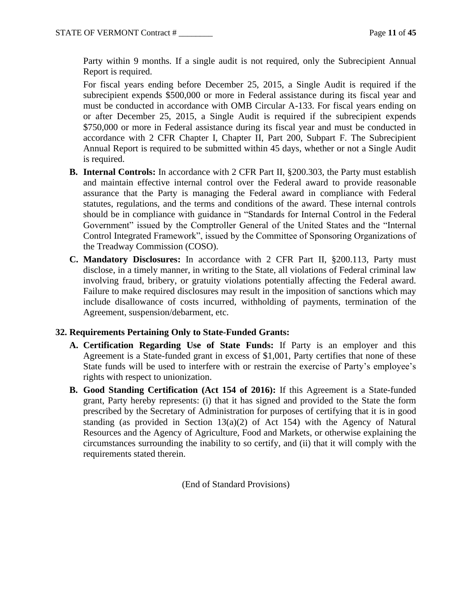Party within 9 months. If a single audit is not required, only the Subrecipient Annual Report is required.

For fiscal years ending before December 25, 2015, a Single Audit is required if the subrecipient expends \$500,000 or more in Federal assistance during its fiscal year and must be conducted in accordance with OMB Circular A-133. For fiscal years ending on or after December 25, 2015, a Single Audit is required if the subrecipient expends \$750,000 or more in Federal assistance during its fiscal year and must be conducted in accordance with 2 CFR Chapter I, Chapter II, Part 200, Subpart F. The Subrecipient Annual Report is required to be submitted within 45 days, whether or not a Single Audit is required.

- **B. Internal Controls:** In accordance with 2 CFR Part II, §200.303, the Party must establish and maintain effective internal control over the Federal award to provide reasonable assurance that the Party is managing the Federal award in compliance with Federal statutes, regulations, and the terms and conditions of the award. These internal controls should be in compliance with guidance in "Standards for Internal Control in the Federal Government" issued by the Comptroller General of the United States and the "Internal Control Integrated Framework", issued by the Committee of Sponsoring Organizations of the Treadway Commission (COSO).
- **C. Mandatory Disclosures:** In accordance with 2 CFR Part II, §200.113, Party must disclose, in a timely manner, in writing to the State, all violations of Federal criminal law involving fraud, bribery, or gratuity violations potentially affecting the Federal award. Failure to make required disclosures may result in the imposition of sanctions which may include disallowance of costs incurred, withholding of payments, termination of the Agreement, suspension/debarment, etc.

### **32. Requirements Pertaining Only to State-Funded Grants:**

- **A. Certification Regarding Use of State Funds:** If Party is an employer and this Agreement is a State-funded grant in excess of \$1,001, Party certifies that none of these State funds will be used to interfere with or restrain the exercise of Party's employee's rights with respect to unionization.
- **B. Good Standing Certification (Act 154 of 2016):** If this Agreement is a State-funded grant, Party hereby represents: (i) that it has signed and provided to the State the form prescribed by the Secretary of Administration for purposes of certifying that it is in good standing (as provided in Section  $13(a)(2)$  of Act 154) with the Agency of Natural Resources and the Agency of Agriculture, Food and Markets, or otherwise explaining the circumstances surrounding the inability to so certify, and (ii) that it will comply with the requirements stated therein.

(End of Standard Provisions)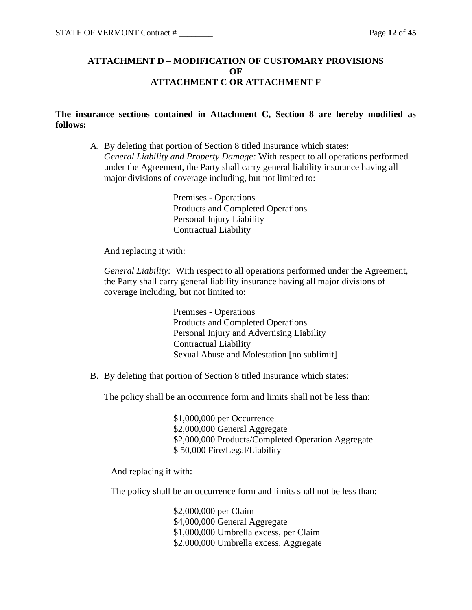## **ATTACHMENT D – MODIFICATION OF CUSTOMARY PROVISIONS OF ATTACHMENT C OR ATTACHMENT F**

### **The insurance sections contained in Attachment C, Section 8 are hereby modified as follows:**

A. By deleting that portion of Section 8 titled Insurance which states: *General Liability and Property Damage:* With respect to all operations performed under the Agreement, the Party shall carry general liability insurance having all major divisions of coverage including, but not limited to:

> Premises - Operations Products and Completed Operations Personal Injury Liability Contractual Liability

And replacing it with:

*General Liability:* With respect to all operations performed under the Agreement, the Party shall carry general liability insurance having all major divisions of coverage including, but not limited to:

> Premises - Operations Products and Completed Operations Personal Injury and Advertising Liability Contractual Liability Sexual Abuse and Molestation [no sublimit]

B. By deleting that portion of Section 8 titled Insurance which states:

The policy shall be an occurrence form and limits shall not be less than:

\$1,000,000 per Occurrence \$2,000,000 General Aggregate \$2,000,000 Products/Completed Operation Aggregate \$ 50,000 Fire/Legal/Liability

And replacing it with:

The policy shall be an occurrence form and limits shall not be less than:

\$2,000,000 per Claim \$4,000,000 General Aggregate \$1,000,000 Umbrella excess, per Claim \$2,000,000 Umbrella excess, Aggregate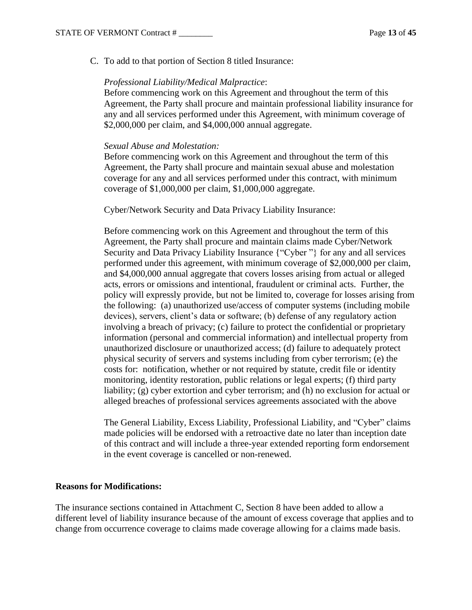C. To add to that portion of Section 8 titled Insurance:

#### *Professional Liability/Medical Malpractice*:

Before commencing work on this Agreement and throughout the term of this Agreement, the Party shall procure and maintain professional liability insurance for any and all services performed under this Agreement, with minimum coverage of \$2,000,000 per claim, and \$4,000,000 annual aggregate.

#### *Sexual Abuse and Molestation:*

Before commencing work on this Agreement and throughout the term of this Agreement, the Party shall procure and maintain sexual abuse and molestation coverage for any and all services performed under this contract, with minimum coverage of \$1,000,000 per claim, \$1,000,000 aggregate.

Cyber/Network Security and Data Privacy Liability Insurance:

Before commencing work on this Agreement and throughout the term of this Agreement, the Party shall procure and maintain claims made Cyber/Network Security and Data Privacy Liability Insurance {"Cyber "} for any and all services performed under this agreement, with minimum coverage of \$2,000,000 per claim, and \$4,000,000 annual aggregate that covers losses arising from actual or alleged acts, errors or omissions and intentional, fraudulent or criminal acts. Further, the policy will expressly provide, but not be limited to, coverage for losses arising from the following: (a) unauthorized use/access of computer systems (including mobile devices), servers, client's data or software; (b) defense of any regulatory action involving a breach of privacy; (c) failure to protect the confidential or proprietary information (personal and commercial information) and intellectual property from unauthorized disclosure or unauthorized access; (d) failure to adequately protect physical security of servers and systems including from cyber terrorism; (e) the costs for: notification, whether or not required by statute, credit file or identity monitoring, identity restoration, public relations or legal experts; (f) third party liability; (g) cyber extortion and cyber terrorism; and (h) no exclusion for actual or alleged breaches of professional services agreements associated with the above

The General Liability, Excess Liability, Professional Liability, and "Cyber" claims made policies will be endorsed with a retroactive date no later than inception date of this contract and will include a three-year extended reporting form endorsement in the event coverage is cancelled or non-renewed.

#### **Reasons for Modifications:**

The insurance sections contained in Attachment C, Section 8 have been added to allow a different level of liability insurance because of the amount of excess coverage that applies and to change from occurrence coverage to claims made coverage allowing for a claims made basis.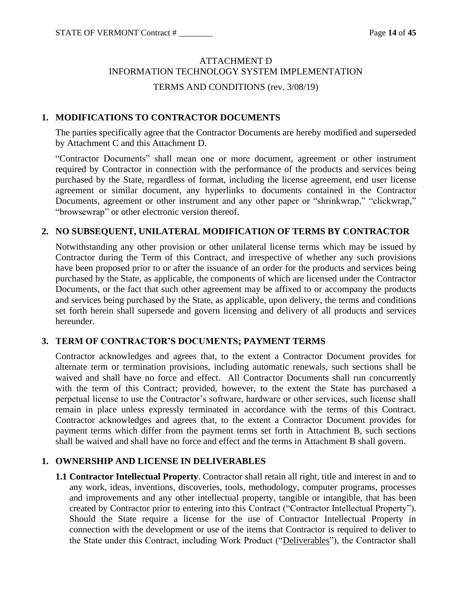## ATTACHMENT D INFORMATION TECHNOLOGY SYSTEM IMPLEMENTATION

### TERMS AND CONDITIONS (rev. 3/08/19)

### **1. MODIFICATIONS TO CONTRACTOR DOCUMENTS**

The parties specifically agree that the Contractor Documents are hereby modified and superseded by Attachment C and this Attachment D.

"Contractor Documents" shall mean one or more document, agreement or other instrument required by Contractor in connection with the performance of the products and services being purchased by the State, regardless of format, including the license agreement, end user license agreement or similar document, any hyperlinks to documents contained in the Contractor Documents, agreement or other instrument and any other paper or "shrinkwrap," "clickwrap," "browsewrap" or other electronic version thereof.

### **2. NO SUBSEQUENT, UNILATERAL MODIFICATION OF TERMS BY CONTRACTOR**

Notwithstanding any other provision or other unilateral license terms which may be issued by Contractor during the Term of this Contract, and irrespective of whether any such provisions have been proposed prior to or after the issuance of an order for the products and services being purchased by the State, as applicable, the components of which are licensed under the Contractor Documents, or the fact that such other agreement may be affixed to or accompany the products and services being purchased by the State, as applicable, upon delivery, the terms and conditions set forth herein shall supersede and govern licensing and delivery of all products and services hereunder.

### **3. TERM OF CONTRACTOR'S DOCUMENTS; PAYMENT TERMS**

Contractor acknowledges and agrees that, to the extent a Contractor Document provides for alternate term or termination provisions, including automatic renewals, such sections shall be waived and shall have no force and effect. All Contractor Documents shall run concurrently with the term of this Contract; provided, however, to the extent the State has purchased a perpetual license to use the Contractor's software, hardware or other services, such license shall remain in place unless expressly terminated in accordance with the terms of this Contract. Contractor acknowledges and agrees that, to the extent a Contractor Document provides for payment terms which differ from the payment terms set forth in Attachment B, such sections shall be waived and shall have no force and effect and the terms in Attachment B shall govern.

### **1. OWNERSHIP AND LICENSE IN DELIVERABLES**

**1.1 Contractor Intellectual Property**. Contractor shall retain all right, title and interest in and to any work, ideas, inventions, discoveries, tools, methodology, computer programs, processes and improvements and any other intellectual property, tangible or intangible, that has been created by Contractor prior to entering into this Contract ("Contractor Intellectual Property"). Should the State require a license for the use of Contractor Intellectual Property in connection with the development or use of the items that Contractor is required to deliver to the State under this Contract, including Work Product ("Deliverables"), the Contractor shall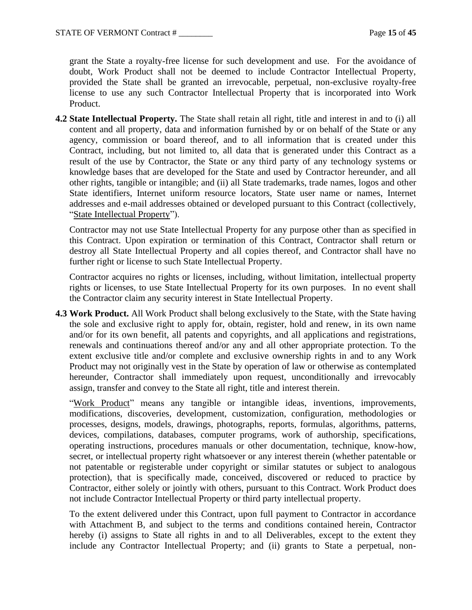grant the State a royalty-free license for such development and use. For the avoidance of doubt, Work Product shall not be deemed to include Contractor Intellectual Property, provided the State shall be granted an irrevocable, perpetual, non-exclusive royalty-free license to use any such Contractor Intellectual Property that is incorporated into Work Product.

**4.2 State Intellectual Property.** The State shall retain all right, title and interest in and to (i) all content and all property, data and information furnished by or on behalf of the State or any agency, commission or board thereof, and to all information that is created under this Contract, including, but not limited to, all data that is generated under this Contract as a result of the use by Contractor, the State or any third party of any technology systems or knowledge bases that are developed for the State and used by Contractor hereunder, and all other rights, tangible or intangible; and (ii) all State trademarks, trade names, logos and other State identifiers, Internet uniform resource locators, State user name or names, Internet addresses and e-mail addresses obtained or developed pursuant to this Contract (collectively, "State Intellectual Property").

Contractor may not use State Intellectual Property for any purpose other than as specified in this Contract. Upon expiration or termination of this Contract, Contractor shall return or destroy all State Intellectual Property and all copies thereof, and Contractor shall have no further right or license to such State Intellectual Property.

Contractor acquires no rights or licenses, including, without limitation, intellectual property rights or licenses, to use State Intellectual Property for its own purposes. In no event shall the Contractor claim any security interest in State Intellectual Property.

**4.3 Work Product.** All Work Product shall belong exclusively to the State, with the State having the sole and exclusive right to apply for, obtain, register, hold and renew, in its own name and/or for its own benefit, all patents and copyrights, and all applications and registrations, renewals and continuations thereof and/or any and all other appropriate protection. To the extent exclusive title and/or complete and exclusive ownership rights in and to any Work Product may not originally vest in the State by operation of law or otherwise as contemplated hereunder, Contractor shall immediately upon request, unconditionally and irrevocably assign, transfer and convey to the State all right, title and interest therein.

"Work Product" means any tangible or intangible ideas, inventions, improvements, modifications, discoveries, development, customization, configuration, methodologies or processes, designs, models, drawings, photographs, reports, formulas, algorithms, patterns, devices, compilations, databases, computer programs, work of authorship, specifications, operating instructions, procedures manuals or other documentation, technique, know-how, secret, or intellectual property right whatsoever or any interest therein (whether patentable or not patentable or registerable under copyright or similar statutes or subject to analogous protection), that is specifically made, conceived, discovered or reduced to practice by Contractor, either solely or jointly with others, pursuant to this Contract. Work Product does not include Contractor Intellectual Property or third party intellectual property.

To the extent delivered under this Contract, upon full payment to Contractor in accordance with Attachment B, and subject to the terms and conditions contained herein, Contractor hereby (i) assigns to State all rights in and to all Deliverables, except to the extent they include any Contractor Intellectual Property; and (ii) grants to State a perpetual, non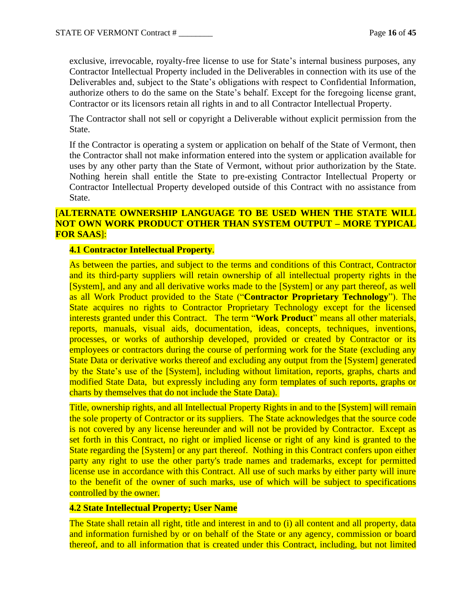exclusive, irrevocable, royalty-free license to use for State's internal business purposes, any Contractor Intellectual Property included in the Deliverables in connection with its use of the Deliverables and, subject to the State's obligations with respect to Confidential Information, authorize others to do the same on the State's behalf. Except for the foregoing license grant, Contractor or its licensors retain all rights in and to all Contractor Intellectual Property.

The Contractor shall not sell or copyright a Deliverable without explicit permission from the State.

If the Contractor is operating a system or application on behalf of the State of Vermont, then the Contractor shall not make information entered into the system or application available for uses by any other party than the State of Vermont, without prior authorization by the State. Nothing herein shall entitle the State to pre-existing Contractor Intellectual Property or Contractor Intellectual Property developed outside of this Contract with no assistance from State.

## [**ALTERNATE OWNERSHIP LANGUAGE TO BE USED WHEN THE STATE WILL NOT OWN WORK PRODUCT OTHER THAN SYSTEM OUTPUT – MORE TYPICAL FOR SAAS**]:

### **4.1 Contractor Intellectual Property**.

As between the parties, and subject to the terms and conditions of this Contract, Contractor and its third-party suppliers will retain ownership of all intellectual property rights in the [System], and any and all derivative works made to the [System] or any part thereof, as well as all Work Product provided to the State ("**Contractor Proprietary Technology**"). The State acquires no rights to Contractor Proprietary Technology except for the licensed interests granted under this Contract. The term "**Work Product**" means all other materials, reports, manuals, visual aids, documentation, ideas, concepts, techniques, inventions, processes, or works of authorship developed, provided or created by Contractor or its employees or contractors during the course of performing work for the State (excluding any State Data or derivative works thereof and excluding any output from the [System] generated by the State's use of the [System], including without limitation, reports, graphs, charts and modified State Data, but expressly including any form templates of such reports, graphs or charts by themselves that do not include the State Data).

Title, ownership rights, and all Intellectual Property Rights in and to the [System] will remain the sole property of Contractor or its suppliers. The State acknowledges that the source code is not covered by any license hereunder and will not be provided by Contractor. Except as set forth in this Contract, no right or implied license or right of any kind is granted to the State regarding the [System] or any part thereof. Nothing in this Contract confers upon either party any right to use the other party's trade names and trademarks, except for permitted license use in accordance with this Contract. All use of such marks by either party will inure to the benefit of the owner of such marks, use of which will be subject to specifications controlled by the owner.

## **4.2 State Intellectual Property; User Name**

The State shall retain all right, title and interest in and to (i) all content and all property, data and information furnished by or on behalf of the State or any agency, commission or board thereof, and to all information that is created under this Contract, including, but not limited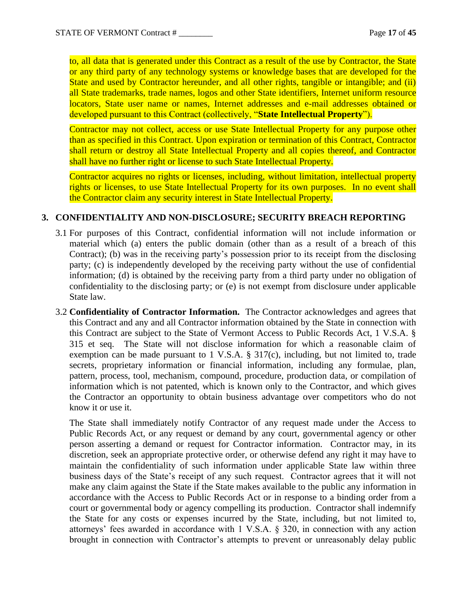to, all data that is generated under this Contract as a result of the use by Contractor, the State or any third party of any technology systems or knowledge bases that are developed for the State and used by Contractor hereunder, and all other rights, tangible or intangible; and (ii) all State trademarks, trade names, logos and other State identifiers, Internet uniform resource locators, State user name or names, Internet addresses and e-mail addresses obtained or developed pursuant to this Contract (collectively, "**State Intellectual Property**").

Contractor may not collect, access or use State Intellectual Property for any purpose other than as specified in this Contract. Upon expiration or termination of this Contract, Contractor shall return or destroy all State Intellectual Property and all copies thereof, and Contractor shall have no further right or license to such State Intellectual Property.

Contractor acquires no rights or licenses, including, without limitation, intellectual property rights or licenses, to use State Intellectual Property for its own purposes. In no event shall the Contractor claim any security interest in State Intellectual Property.

### **3. CONFIDENTIALITY AND NON-DISCLOSURE; SECURITY BREACH REPORTING**

- 3.1 For purposes of this Contract, confidential information will not include information or material which (a) enters the public domain (other than as a result of a breach of this Contract); (b) was in the receiving party's possession prior to its receipt from the disclosing party; (c) is independently developed by the receiving party without the use of confidential information; (d) is obtained by the receiving party from a third party under no obligation of confidentiality to the disclosing party; or (e) is not exempt from disclosure under applicable State law.
- 3.2 **Confidentiality of Contractor Information.** The Contractor acknowledges and agrees that this Contract and any and all Contractor information obtained by the State in connection with this Contract are subject to the State of Vermont Access to Public Records Act, 1 V.S.A. § 315 et seq. The State will not disclose information for which a reasonable claim of exemption can be made pursuant to 1 V.S.A. § 317(c), including, but not limited to, trade secrets, proprietary information or financial information, including any formulae, plan, pattern, process, tool, mechanism, compound, procedure, production data, or compilation of information which is not patented, which is known only to the Contractor, and which gives the Contractor an opportunity to obtain business advantage over competitors who do not know it or use it.

The State shall immediately notify Contractor of any request made under the Access to Public Records Act, or any request or demand by any court, governmental agency or other person asserting a demand or request for Contractor information. Contractor may, in its discretion, seek an appropriate protective order, or otherwise defend any right it may have to maintain the confidentiality of such information under applicable State law within three business days of the State's receipt of any such request. Contractor agrees that it will not make any claim against the State if the State makes available to the public any information in accordance with the Access to Public Records Act or in response to a binding order from a court or governmental body or agency compelling its production. Contractor shall indemnify the State for any costs or expenses incurred by the State, including, but not limited to, attorneys' fees awarded in accordance with 1 V.S.A. § 320, in connection with any action brought in connection with Contractor's attempts to prevent or unreasonably delay public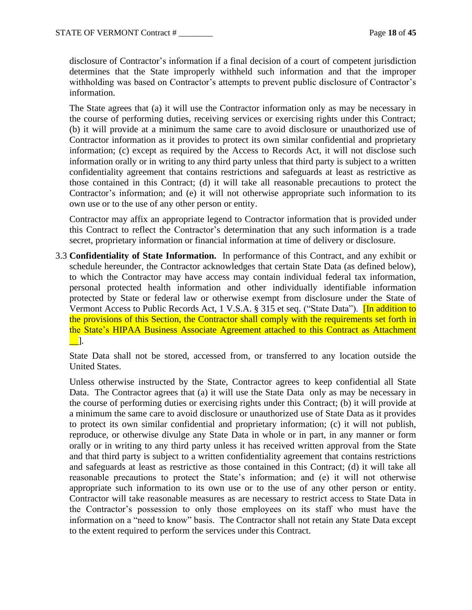disclosure of Contractor's information if a final decision of a court of competent jurisdiction determines that the State improperly withheld such information and that the improper withholding was based on Contractor's attempts to prevent public disclosure of Contractor's information.

The State agrees that (a) it will use the Contractor information only as may be necessary in the course of performing duties, receiving services or exercising rights under this Contract; (b) it will provide at a minimum the same care to avoid disclosure or unauthorized use of Contractor information as it provides to protect its own similar confidential and proprietary information; (c) except as required by the Access to Records Act, it will not disclose such information orally or in writing to any third party unless that third party is subject to a written confidentiality agreement that contains restrictions and safeguards at least as restrictive as those contained in this Contract; (d) it will take all reasonable precautions to protect the Contractor's information; and (e) it will not otherwise appropriate such information to its own use or to the use of any other person or entity.

Contractor may affix an appropriate legend to Contractor information that is provided under this Contract to reflect the Contractor's determination that any such information is a trade secret, proprietary information or financial information at time of delivery or disclosure.

3.3 **Confidentiality of State Information.** In performance of this Contract, and any exhibit or schedule hereunder, the Contractor acknowledges that certain State Data (as defined below), to which the Contractor may have access may contain individual federal tax information, personal protected health information and other individually identifiable information protected by State or federal law or otherwise exempt from disclosure under the State of Vermont Access to Public Records Act, 1 V.S.A. § 315 et seq. ("State Data").[In addition to the provisions of this Section, the Contractor shall comply with the requirements set forth in the State's HIPAA Business Associate Agreement attached to this Contract as Attachment \_\_]*.* 

State Data shall not be stored, accessed from, or transferred to any location outside the United States.

Unless otherwise instructed by the State, Contractor agrees to keep confidential all State Data. The Contractor agrees that (a) it will use the State Data only as may be necessary in the course of performing duties or exercising rights under this Contract; (b) it will provide at a minimum the same care to avoid disclosure or unauthorized use of State Data as it provides to protect its own similar confidential and proprietary information; (c) it will not publish, reproduce, or otherwise divulge any State Data in whole or in part, in any manner or form orally or in writing to any third party unless it has received written approval from the State and that third party is subject to a written confidentiality agreement that contains restrictions and safeguards at least as restrictive as those contained in this Contract; (d) it will take all reasonable precautions to protect the State's information; and (e) it will not otherwise appropriate such information to its own use or to the use of any other person or entity. Contractor will take reasonable measures as are necessary to restrict access to State Data in the Contractor's possession to only those employees on its staff who must have the information on a "need to know" basis. The Contractor shall not retain any State Data except to the extent required to perform the services under this Contract.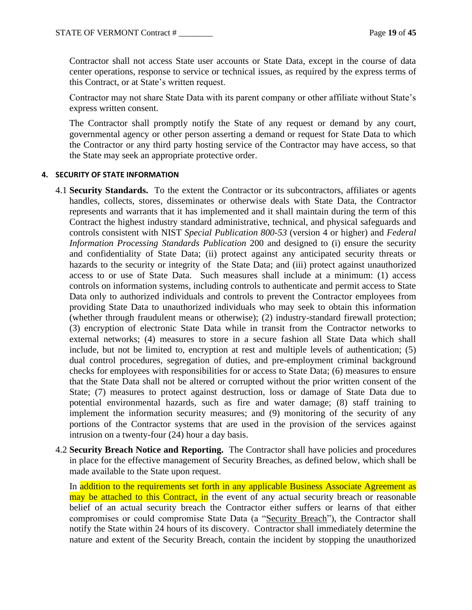Contractor shall not access State user accounts or State Data, except in the course of data center operations, response to service or technical issues, as required by the express terms of this Contract, or at State's written request.

Contractor may not share State Data with its parent company or other affiliate without State's express written consent.

The Contractor shall promptly notify the State of any request or demand by any court, governmental agency or other person asserting a demand or request for State Data to which the Contractor or any third party hosting service of the Contractor may have access, so that the State may seek an appropriate protective order.

#### **4. SECURITY OF STATE INFORMATION**

- 4.1 **Security Standards.** To the extent the Contractor or its subcontractors, affiliates or agents handles, collects, stores, disseminates or otherwise deals with State Data, the Contractor represents and warrants that it has implemented and it shall maintain during the term of this Contract the highest industry standard administrative, technical, and physical safeguards and controls consistent with NIST *Special Publication 800-53* (version 4 or higher) and *Federal Information Processing Standards Publication* 200 and designed to (i) ensure the security and confidentiality of State Data; (ii) protect against any anticipated security threats or hazards to the security or integrity of the State Data; and (iii) protect against unauthorized access to or use of State Data. Such measures shall include at a minimum: (1) access controls on information systems, including controls to authenticate and permit access to State Data only to authorized individuals and controls to prevent the Contractor employees from providing State Data to unauthorized individuals who may seek to obtain this information (whether through fraudulent means or otherwise); (2) industry-standard firewall protection; (3) encryption of electronic State Data while in transit from the Contractor networks to external networks; (4) measures to store in a secure fashion all State Data which shall include, but not be limited to, encryption at rest and multiple levels of authentication; (5) dual control procedures, segregation of duties, and pre-employment criminal background checks for employees with responsibilities for or access to State Data; (6) measures to ensure that the State Data shall not be altered or corrupted without the prior written consent of the State; (7) measures to protect against destruction, loss or damage of State Data due to potential environmental hazards, such as fire and water damage; (8) staff training to implement the information security measures; and (9) monitoring of the security of any portions of the Contractor systems that are used in the provision of the services against intrusion on a twenty-four (24) hour a day basis.
- 4.2 **Security Breach Notice and Reporting.** The Contractor shall have policies and procedures in place for the effective management of Security Breaches, as defined below, which shall be made available to the State upon request.

In addition to the requirements set forth in any applicable Business Associate Agreement as may be attached to this Contract, in the event of any actual security breach or reasonable belief of an actual security breach the Contractor either suffers or learns of that either compromises or could compromise State Data (a "Security Breach"), the Contractor shall notify the State within 24 hours of its discovery. Contractor shall immediately determine the nature and extent of the Security Breach, contain the incident by stopping the unauthorized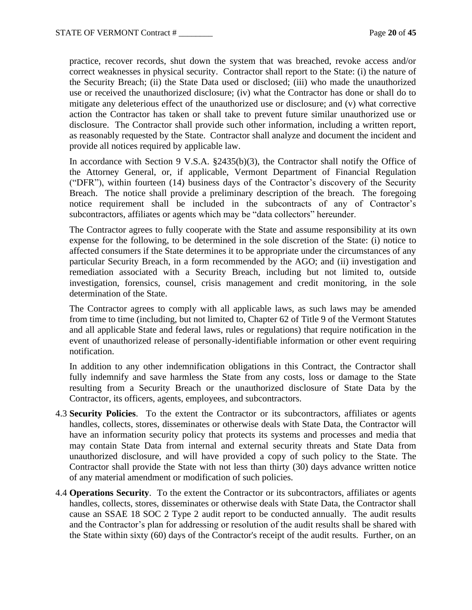practice, recover records, shut down the system that was breached, revoke access and/or correct weaknesses in physical security. Contractor shall report to the State: (i) the nature of the Security Breach; (ii) the State Data used or disclosed; (iii) who made the unauthorized use or received the unauthorized disclosure; (iv) what the Contractor has done or shall do to mitigate any deleterious effect of the unauthorized use or disclosure; and (v) what corrective action the Contractor has taken or shall take to prevent future similar unauthorized use or disclosure. The Contractor shall provide such other information, including a written report, as reasonably requested by the State. Contractor shall analyze and document the incident and provide all notices required by applicable law.

In accordance with Section 9 V.S.A. §2435(b)(3), the Contractor shall notify the Office of the Attorney General, or, if applicable, Vermont Department of Financial Regulation ("DFR"), within fourteen (14) business days of the Contractor's discovery of the Security Breach. The notice shall provide a preliminary description of the breach. The foregoing notice requirement shall be included in the subcontracts of any of Contractor's subcontractors, affiliates or agents which may be "data collectors" hereunder.

The Contractor agrees to fully cooperate with the State and assume responsibility at its own expense for the following, to be determined in the sole discretion of the State: (i) notice to affected consumers if the State determines it to be appropriate under the circumstances of any particular Security Breach, in a form recommended by the AGO; and (ii) investigation and remediation associated with a Security Breach, including but not limited to, outside investigation, forensics, counsel, crisis management and credit monitoring, in the sole determination of the State.

The Contractor agrees to comply with all applicable laws, as such laws may be amended from time to time (including, but not limited to, Chapter 62 of Title 9 of the Vermont Statutes and all applicable State and federal laws, rules or regulations) that require notification in the event of unauthorized release of personally-identifiable information or other event requiring notification.

In addition to any other indemnification obligations in this Contract, the Contractor shall fully indemnify and save harmless the State from any costs, loss or damage to the State resulting from a Security Breach or the unauthorized disclosure of State Data by the Contractor, its officers, agents, employees, and subcontractors.

- 4.3 **Security Policies**. To the extent the Contractor or its subcontractors, affiliates or agents handles, collects, stores, disseminates or otherwise deals with State Data, the Contractor will have an information security policy that protects its systems and processes and media that may contain State Data from internal and external security threats and State Data from unauthorized disclosure, and will have provided a copy of such policy to the State. The Contractor shall provide the State with not less than thirty (30) days advance written notice of any material amendment or modification of such policies.
- 4.4 **Operations Security**. To the extent the Contractor or its subcontractors, affiliates or agents handles, collects, stores, disseminates or otherwise deals with State Data, the Contractor shall cause an SSAE 18 SOC 2 Type 2 audit report to be conducted annually. The audit results and the Contractor's plan for addressing or resolution of the audit results shall be shared with the State within sixty (60) days of the Contractor's receipt of the audit results. Further, on an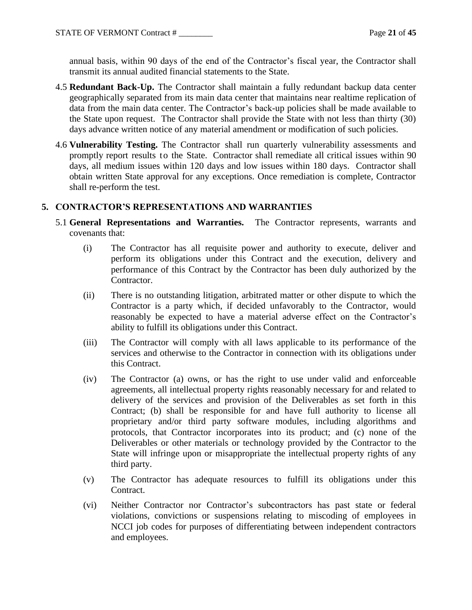annual basis, within 90 days of the end of the Contractor's fiscal year, the Contractor shall transmit its annual audited financial statements to the State.

- 4.5 **Redundant Back-Up.** The Contractor shall maintain a fully redundant backup data center geographically separated from its main data center that maintains near realtime replication of data from the main data center. The Contractor's back-up policies shall be made available to the State upon request. The Contractor shall provide the State with not less than thirty (30) days advance written notice of any material amendment or modification of such policies.
- 4.6 **Vulnerability Testing.** The Contractor shall run quarterly vulnerability assessments and promptly report results to the State. Contractor shall remediate all critical issues within 90 days, all medium issues within 120 days and low issues within 180 days. Contractor shall obtain written State approval for any exceptions. Once remediation is complete, Contractor shall re-perform the test.

### **5. CONTRACTOR'S REPRESENTATIONS AND WARRANTIES**

- 5.1 **General Representations and Warranties.** The Contractor represents, warrants and covenants that:
	- (i) The Contractor has all requisite power and authority to execute, deliver and perform its obligations under this Contract and the execution, delivery and performance of this Contract by the Contractor has been duly authorized by the Contractor.
	- (ii) There is no outstanding litigation, arbitrated matter or other dispute to which the Contractor is a party which, if decided unfavorably to the Contractor, would reasonably be expected to have a material adverse effect on the Contractor's ability to fulfill its obligations under this Contract.
	- (iii) The Contractor will comply with all laws applicable to its performance of the services and otherwise to the Contractor in connection with its obligations under this Contract.
	- (iv) The Contractor (a) owns, or has the right to use under valid and enforceable agreements, all intellectual property rights reasonably necessary for and related to delivery of the services and provision of the Deliverables as set forth in this Contract; (b) shall be responsible for and have full authority to license all proprietary and/or third party software modules, including algorithms and protocols, that Contractor incorporates into its product; and (c) none of the Deliverables or other materials or technology provided by the Contractor to the State will infringe upon or misappropriate the intellectual property rights of any third party.
	- (v) The Contractor has adequate resources to fulfill its obligations under this Contract.
	- (vi) Neither Contractor nor Contractor's subcontractors has past state or federal violations, convictions or suspensions relating to miscoding of employees in NCCI job codes for purposes of differentiating between independent contractors and employees.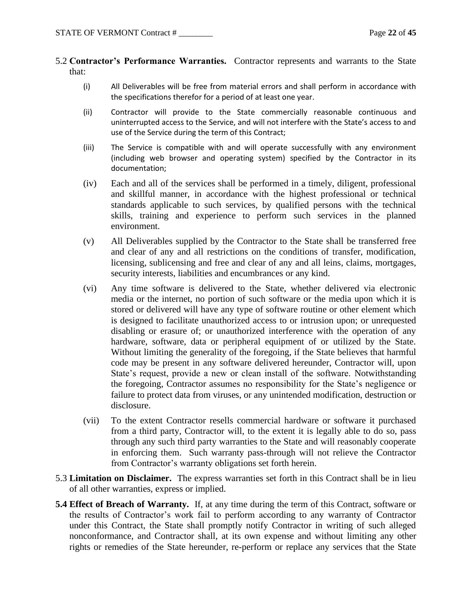- 5.2 **Contractor's Performance Warranties.** Contractor represents and warrants to the State that:
	- (i) All Deliverables will be free from material errors and shall perform in accordance with the specifications therefor for a period of at least one year.
	- (ii) Contractor will provide to the State commercially reasonable continuous and uninterrupted access to the Service, and will not interfere with the State's access to and use of the Service during the term of this Contract;
	- (iii) The Service is compatible with and will operate successfully with any environment (including web browser and operating system) specified by the Contractor in its documentation;
	- (iv) Each and all of the services shall be performed in a timely, diligent, professional and skillful manner, in accordance with the highest professional or technical standards applicable to such services, by qualified persons with the technical skills, training and experience to perform such services in the planned environment.
	- (v) All Deliverables supplied by the Contractor to the State shall be transferred free and clear of any and all restrictions on the conditions of transfer, modification, licensing, sublicensing and free and clear of any and all leins, claims, mortgages, security interests, liabilities and encumbrances or any kind.
	- (vi) Any time software is delivered to the State, whether delivered via electronic media or the internet, no portion of such software or the media upon which it is stored or delivered will have any type of software routine or other element which is designed to facilitate unauthorized access to or intrusion upon; or unrequested disabling or erasure of; or unauthorized interference with the operation of any hardware, software, data or peripheral equipment of or utilized by the State. Without limiting the generality of the foregoing, if the State believes that harmful code may be present in any software delivered hereunder, Contractor will, upon State's request, provide a new or clean install of the software. Notwithstanding the foregoing, Contractor assumes no responsibility for the State's negligence or failure to protect data from viruses, or any unintended modification, destruction or disclosure.
	- (vii) To the extent Contractor resells commercial hardware or software it purchased from a third party, Contractor will, to the extent it is legally able to do so, pass through any such third party warranties to the State and will reasonably cooperate in enforcing them. Such warranty pass-through will not relieve the Contractor from Contractor's warranty obligations set forth herein.
- 5.3 **Limitation on Disclaimer.** The express warranties set forth in this Contract shall be in lieu of all other warranties, express or implied.
- **5.4 Effect of Breach of Warranty.** If, at any time during the term of this Contract, software or the results of Contractor's work fail to perform according to any warranty of Contractor under this Contract, the State shall promptly notify Contractor in writing of such alleged nonconformance, and Contractor shall, at its own expense and without limiting any other rights or remedies of the State hereunder, re-perform or replace any services that the State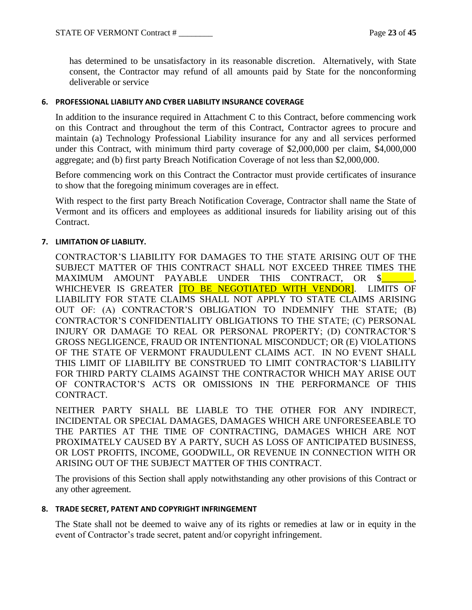has determined to be unsatisfactory in its reasonable discretion. Alternatively, with State consent, the Contractor may refund of all amounts paid by State for the nonconforming deliverable or service

### **6. PROFESSIONAL LIABILITY AND CYBER LIABILITY INSURANCE COVERAGE**

In addition to the insurance required in Attachment C to this Contract, before commencing work on this Contract and throughout the term of this Contract, Contractor agrees to procure and maintain (a) Technology Professional Liability insurance for any and all services performed under this Contract, with minimum third party coverage of \$2,000,000 per claim, \$4,000,000 aggregate; and (b) first party Breach Notification Coverage of not less than \$2,000,000.

Before commencing work on this Contract the Contractor must provide certificates of insurance to show that the foregoing minimum coverages are in effect.

With respect to the first party Breach Notification Coverage, Contractor shall name the State of Vermont and its officers and employees as additional insureds for liability arising out of this Contract.

### **7. LIMITATION OF LIABILITY.**

CONTRACTOR'S LIABILITY FOR DAMAGES TO THE STATE ARISING OUT OF THE SUBJECT MATTER OF THIS CONTRACT SHALL NOT EXCEED THREE TIMES THE MAXIMUM AMOUNT PAYABLE UNDER THIS CONTRACT, OR \$ WHICHEVER IS GREATER **TO BE NEGOTIATED WITH VENDOR]**. LIMITS OF LIABILITY FOR STATE CLAIMS SHALL NOT APPLY TO STATE CLAIMS ARISING OUT OF: (A) CONTRACTOR'S OBLIGATION TO INDEMNIFY THE STATE; (B) CONTRACTOR'S CONFIDENTIALITY OBLIGATIONS TO THE STATE; (C) PERSONAL INJURY OR DAMAGE TO REAL OR PERSONAL PROPERTY; (D) CONTRACTOR'S GROSS NEGLIGENCE, FRAUD OR INTENTIONAL MISCONDUCT; OR (E) VIOLATIONS OF THE STATE OF VERMONT FRAUDULENT CLAIMS ACT. IN NO EVENT SHALL THIS LIMIT OF LIABILITY BE CONSTRUED TO LIMIT CONTRACTOR'S LIABILITY FOR THIRD PARTY CLAIMS AGAINST THE CONTRACTOR WHICH MAY ARISE OUT OF CONTRACTOR'S ACTS OR OMISSIONS IN THE PERFORMANCE OF THIS CONTRACT.

NEITHER PARTY SHALL BE LIABLE TO THE OTHER FOR ANY INDIRECT, INCIDENTAL OR SPECIAL DAMAGES, DAMAGES WHICH ARE UNFORESEEABLE TO THE PARTIES AT THE TIME OF CONTRACTING, DAMAGES WHICH ARE NOT PROXIMATELY CAUSED BY A PARTY, SUCH AS LOSS OF ANTICIPATED BUSINESS, OR LOST PROFITS, INCOME, GOODWILL, OR REVENUE IN CONNECTION WITH OR ARISING OUT OF THE SUBJECT MATTER OF THIS CONTRACT.

The provisions of this Section shall apply notwithstanding any other provisions of this Contract or any other agreement.

#### **8. TRADE SECRET, PATENT AND COPYRIGHT INFRINGEMENT**

The State shall not be deemed to waive any of its rights or remedies at law or in equity in the event of Contractor's trade secret, patent and/or copyright infringement.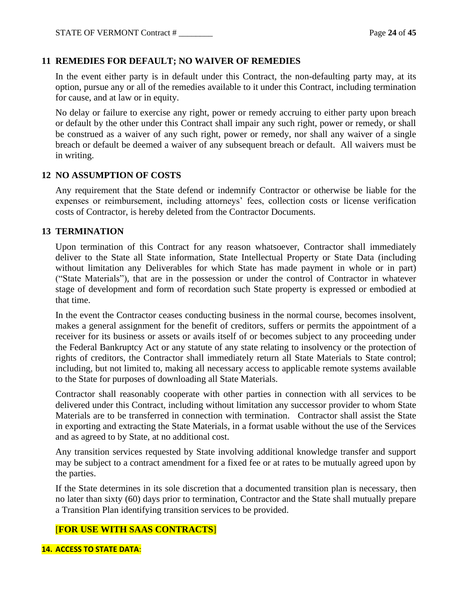### **11 REMEDIES FOR DEFAULT; NO WAIVER OF REMEDIES**

In the event either party is in default under this Contract, the non-defaulting party may, at its option, pursue any or all of the remedies available to it under this Contract, including termination for cause, and at law or in equity.

No delay or failure to exercise any right, power or remedy accruing to either party upon breach or default by the other under this Contract shall impair any such right, power or remedy, or shall be construed as a waiver of any such right, power or remedy, nor shall any waiver of a single breach or default be deemed a waiver of any subsequent breach or default. All waivers must be in writing.

### **12 NO ASSUMPTION OF COSTS**

Any requirement that the State defend or indemnify Contractor or otherwise be liable for the expenses or reimbursement, including attorneys' fees, collection costs or license verification costs of Contractor, is hereby deleted from the Contractor Documents.

### **13 TERMINATION**

Upon termination of this Contract for any reason whatsoever, Contractor shall immediately deliver to the State all State information, State Intellectual Property or State Data (including without limitation any Deliverables for which State has made payment in whole or in part) ("State Materials"), that are in the possession or under the control of Contractor in whatever stage of development and form of recordation such State property is expressed or embodied at that time.

In the event the Contractor ceases conducting business in the normal course, becomes insolvent, makes a general assignment for the benefit of creditors, suffers or permits the appointment of a receiver for its business or assets or avails itself of or becomes subject to any proceeding under the Federal Bankruptcy Act or any statute of any state relating to insolvency or the protection of rights of creditors, the Contractor shall immediately return all State Materials to State control; including, but not limited to, making all necessary access to applicable remote systems available to the State for purposes of downloading all State Materials.

Contractor shall reasonably cooperate with other parties in connection with all services to be delivered under this Contract, including without limitation any successor provider to whom State Materials are to be transferred in connection with termination. Contractor shall assist the State in exporting and extracting the State Materials, in a format usable without the use of the Services and as agreed to by State, at no additional cost.

Any transition services requested by State involving additional knowledge transfer and support may be subject to a contract amendment for a fixed fee or at rates to be mutually agreed upon by the parties.

If the State determines in its sole discretion that a documented transition plan is necessary, then no later than sixty (60) days prior to termination, Contractor and the State shall mutually prepare a Transition Plan identifying transition services to be provided.

## [**FOR USE WITH SAAS CONTRACTS**]

#### **14. ACCESS TO STATE DATA**: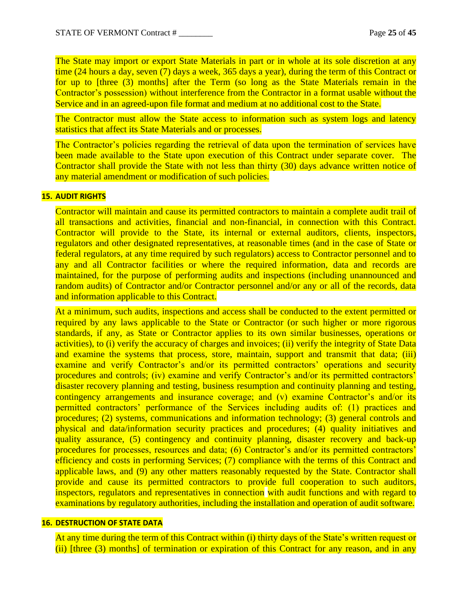The State may import or export State Materials in part or in whole at its sole discretion at any time (24 hours a day, seven (7) days a week, 365 days a year), during the term of this Contract or for up to [three (3) months] after the Term (so long as the State Materials remain in the Contractor's possession) without interference from the Contractor in a format usable without the Service and in an agreed-upon file format and medium at no additional cost to the State.

The Contractor must allow the State access to information such as system logs and latency statistics that affect its State Materials and or processes.

The Contractor's policies regarding the retrieval of data upon the termination of services have been made available to the State upon execution of this Contract under separate cover. The Contractor shall provide the State with not less than thirty (30) days advance written notice of any material amendment or modification of such policies.

#### **15. AUDIT RIGHTS**

Contractor will maintain and cause its permitted contractors to maintain a complete audit trail of all transactions and activities, financial and non-financial, in connection with this Contract. Contractor will provide to the State, its internal or external auditors, clients, inspectors, regulators and other designated representatives, at reasonable times (and in the case of State or federal regulators, at any time required by such regulators) access to Contractor personnel and to any and all Contractor facilities or where the required information, data and records are maintained, for the purpose of performing audits and inspections (including unannounced and random audits) of Contractor and/or Contractor personnel and/or any or all of the records, data and information applicable to this Contract.

At a minimum, such audits, inspections and access shall be conducted to the extent permitted or required by any laws applicable to the State or Contractor (or such higher or more rigorous standards, if any, as State or Contractor applies to its own similar businesses, operations or activities), to (i) verify the accuracy of charges and invoices; (ii) verify the integrity of State Data and examine the systems that process, store, maintain, support and transmit that data; (iii) examine and verify Contractor's and/or its permitted contractors' operations and security procedures and controls; (iv) examine and verify Contractor's and/or its permitted contractors' disaster recovery planning and testing, business resumption and continuity planning and testing, contingency arrangements and insurance coverage; and (v) examine Contractor's and/or its permitted contractors' performance of the Services including audits of: (1) practices and procedures; (2) systems, communications and information technology; (3) general controls and physical and data/information security practices and procedures; (4) quality initiatives and quality assurance, (5) contingency and continuity planning, disaster recovery and back-up procedures for processes, resources and data; (6) Contractor's and/or its permitted contractors' efficiency and costs in performing Services; (7) compliance with the terms of this Contract and applicable laws, and (9) any other matters reasonably requested by the State. Contractor shall provide and cause its permitted contractors to provide full cooperation to such auditors, inspectors, regulators and representatives in connection with audit functions and with regard to examinations by regulatory authorities, including the installation and operation of audit software.

### **16. DESTRUCTION OF STATE DATA**

At any time during the term of this Contract within (i) thirty days of the State's written request or (ii) [three (3) months] of termination or expiration of this Contract for any reason, and in any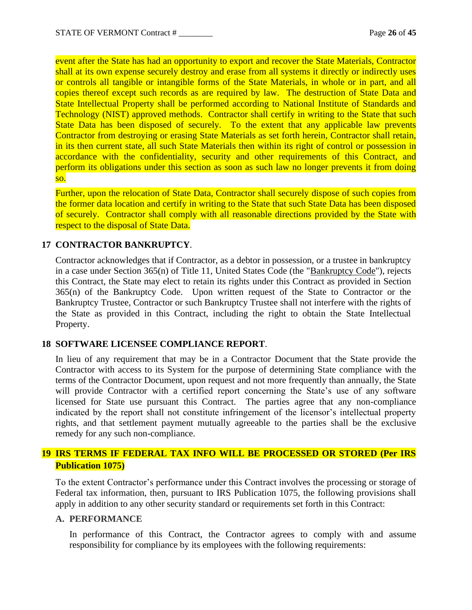event after the State has had an opportunity to export and recover the State Materials, Contractor shall at its own expense securely destroy and erase from all systems it directly or indirectly uses or controls all tangible or intangible forms of the State Materials, in whole or in part, and all copies thereof except such records as are required by law. The destruction of State Data and State Intellectual Property shall be performed according to National Institute of Standards and Technology (NIST) approved methods. Contractor shall certify in writing to the State that such State Data has been disposed of securely. To the extent that any applicable law prevents Contractor from destroying or erasing State Materials as set forth herein, Contractor shall retain, in its then current state, all such State Materials then within its right of control or possession in accordance with the confidentiality, security and other requirements of this Contract, and perform its obligations under this section as soon as such law no longer prevents it from doing so.

Further, upon the relocation of State Data, Contractor shall securely dispose of such copies from the former data location and certify in writing to the State that such State Data has been disposed of securely. Contractor shall comply with all reasonable directions provided by the State with respect to the disposal of State Data.

### **17 CONTRACTOR BANKRUPTCY**.

Contractor acknowledges that if Contractor, as a debtor in possession, or a trustee in bankruptcy in a case under Section 365(n) of Title 11, United States Code (the "Bankruptcy Code"), rejects this Contract, the State may elect to retain its rights under this Contract as provided in Section 365(n) of the Bankruptcy Code. Upon written request of the State to Contractor or the Bankruptcy Trustee, Contractor or such Bankruptcy Trustee shall not interfere with the rights of the State as provided in this Contract, including the right to obtain the State Intellectual Property.

### **18 SOFTWARE LICENSEE COMPLIANCE REPORT**.

In lieu of any requirement that may be in a Contractor Document that the State provide the Contractor with access to its System for the purpose of determining State compliance with the terms of the Contractor Document, upon request and not more frequently than annually, the State will provide Contractor with a certified report concerning the State's use of any software licensed for State use pursuant this Contract. The parties agree that any non-compliance indicated by the report shall not constitute infringement of the licensor's intellectual property rights, and that settlement payment mutually agreeable to the parties shall be the exclusive remedy for any such non-compliance.

## **19 IRS TERMS IF FEDERAL TAX INFO WILL BE PROCESSED OR STORED (Per IRS Publication 1075)**

To the extent Contractor's performance under this Contract involves the processing or storage of Federal tax information, then, pursuant to IRS Publication 1075, the following provisions shall apply in addition to any other security standard or requirements set forth in this Contract:

### **A. PERFORMANCE**

In performance of this Contract, the Contractor agrees to comply with and assume responsibility for compliance by its employees with the following requirements: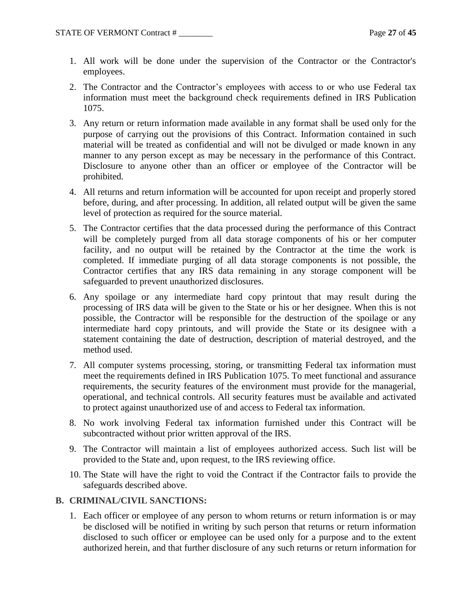- 1. All work will be done under the supervision of the Contractor or the Contractor's employees.
- 2. The Contractor and the Contractor's employees with access to or who use Federal tax information must meet the background check requirements defined in IRS Publication 1075.
- 3. Any return or return information made available in any format shall be used only for the purpose of carrying out the provisions of this Contract. Information contained in such material will be treated as confidential and will not be divulged or made known in any manner to any person except as may be necessary in the performance of this Contract. Disclosure to anyone other than an officer or employee of the Contractor will be prohibited.
- 4. All returns and return information will be accounted for upon receipt and properly stored before, during, and after processing. In addition, all related output will be given the same level of protection as required for the source material.
- 5. The Contractor certifies that the data processed during the performance of this Contract will be completely purged from all data storage components of his or her computer facility, and no output will be retained by the Contractor at the time the work is completed. If immediate purging of all data storage components is not possible, the Contractor certifies that any IRS data remaining in any storage component will be safeguarded to prevent unauthorized disclosures.
- 6. Any spoilage or any intermediate hard copy printout that may result during the processing of IRS data will be given to the State or his or her designee. When this is not possible, the Contractor will be responsible for the destruction of the spoilage or any intermediate hard copy printouts, and will provide the State or its designee with a statement containing the date of destruction, description of material destroyed, and the method used.
- 7. All computer systems processing, storing, or transmitting Federal tax information must meet the requirements defined in IRS Publication 1075. To meet functional and assurance requirements, the security features of the environment must provide for the managerial, operational, and technical controls. All security features must be available and activated to protect against unauthorized use of and access to Federal tax information.
- 8. No work involving Federal tax information furnished under this Contract will be subcontracted without prior written approval of the IRS.
- 9. The Contractor will maintain a list of employees authorized access. Such list will be provided to the State and, upon request, to the IRS reviewing office.
- 10. The State will have the right to void the Contract if the Contractor fails to provide the safeguards described above.

### **B. CRIMINAL/CIVIL SANCTIONS:**

1. Each officer or employee of any person to whom returns or return information is or may be disclosed will be notified in writing by such person that returns or return information disclosed to such officer or employee can be used only for a purpose and to the extent authorized herein, and that further disclosure of any such returns or return information for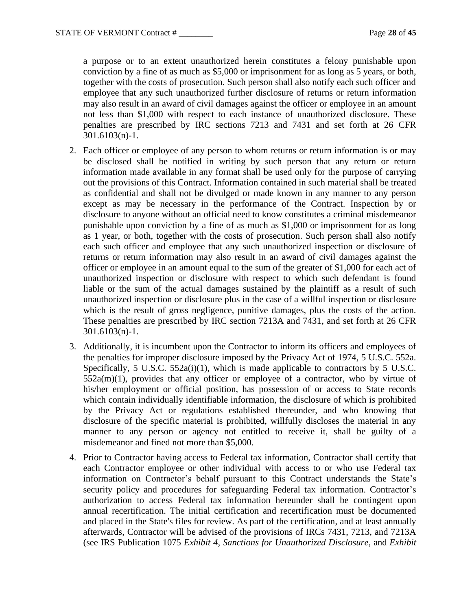a purpose or to an extent unauthorized herein constitutes a felony punishable upon conviction by a fine of as much as \$5,000 or imprisonment for as long as 5 years, or both, together with the costs of prosecution. Such person shall also notify each such officer and employee that any such unauthorized further disclosure of returns or return information may also result in an award of civil damages against the officer or employee in an amount not less than \$1,000 with respect to each instance of unauthorized disclosure. These penalties are prescribed by IRC sections 7213 and 7431 and set forth at 26 CFR 301.6103(n)-1.

- 2. Each officer or employee of any person to whom returns or return information is or may be disclosed shall be notified in writing by such person that any return or return information made available in any format shall be used only for the purpose of carrying out the provisions of this Contract. Information contained in such material shall be treated as confidential and shall not be divulged or made known in any manner to any person except as may be necessary in the performance of the Contract. Inspection by or disclosure to anyone without an official need to know constitutes a criminal misdemeanor punishable upon conviction by a fine of as much as \$1,000 or imprisonment for as long as 1 year, or both, together with the costs of prosecution. Such person shall also notify each such officer and employee that any such unauthorized inspection or disclosure of returns or return information may also result in an award of civil damages against the officer or employee in an amount equal to the sum of the greater of \$1,000 for each act of unauthorized inspection or disclosure with respect to which such defendant is found liable or the sum of the actual damages sustained by the plaintiff as a result of such unauthorized inspection or disclosure plus in the case of a willful inspection or disclosure which is the result of gross negligence, punitive damages, plus the costs of the action. These penalties are prescribed by IRC section 7213A and 7431, and set forth at 26 CFR 301.6103(n)-1.
- 3. Additionally, it is incumbent upon the Contractor to inform its officers and employees of the penalties for improper disclosure imposed by the Privacy Act of 1974, 5 U.S.C. 552a. Specifically, 5 U.S.C. 552a(i)(1), which is made applicable to contractors by 5 U.S.C.  $552a(m)(1)$ , provides that any officer or employee of a contractor, who by virtue of his/her employment or official position, has possession of or access to State records which contain individually identifiable information, the disclosure of which is prohibited by the Privacy Act or regulations established thereunder, and who knowing that disclosure of the specific material is prohibited, willfully discloses the material in any manner to any person or agency not entitled to receive it, shall be guilty of a misdemeanor and fined not more than \$5,000.
- 4. Prior to Contractor having access to Federal tax information, Contractor shall certify that each Contractor employee or other individual with access to or who use Federal tax information on Contractor's behalf pursuant to this Contract understands the State's security policy and procedures for safeguarding Federal tax information. Contractor's authorization to access Federal tax information hereunder shall be contingent upon annual recertification. The initial certification and recertification must be documented and placed in the State's files for review. As part of the certification, and at least annually afterwards, Contractor will be advised of the provisions of IRCs 7431, 7213, and 7213A (see IRS Publication 1075 *Exhibit 4, Sanctions for Unauthorized Disclosure*, and *Exhibit*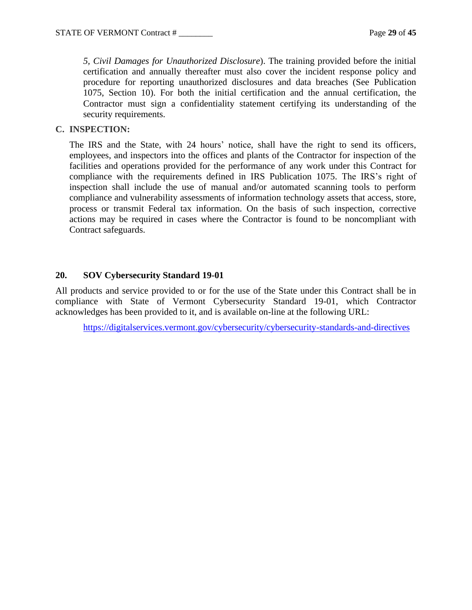*5, Civil Damages for Unauthorized Disclosure*). The training provided before the initial certification and annually thereafter must also cover the incident response policy and procedure for reporting unauthorized disclosures and data breaches (See Publication 1075, Section 10). For both the initial certification and the annual certification, the Contractor must sign a confidentiality statement certifying its understanding of the security requirements.

### **C. INSPECTION:**

The IRS and the State, with 24 hours' notice, shall have the right to send its officers, employees, and inspectors into the offices and plants of the Contractor for inspection of the facilities and operations provided for the performance of any work under this Contract for compliance with the requirements defined in IRS Publication 1075. The IRS's right of inspection shall include the use of manual and/or automated scanning tools to perform compliance and vulnerability assessments of information technology assets that access, store, process or transmit Federal tax information. On the basis of such inspection, corrective actions may be required in cases where the Contractor is found to be noncompliant with Contract safeguards.

### **20. SOV Cybersecurity Standard 19-01**

All products and service provided to or for the use of the State under this Contract shall be in compliance with State of Vermont Cybersecurity Standard 19-01, which Contractor acknowledges has been provided to it, and is available on-line at the following URL:

<https://digitalservices.vermont.gov/cybersecurity/cybersecurity-standards-and-directives>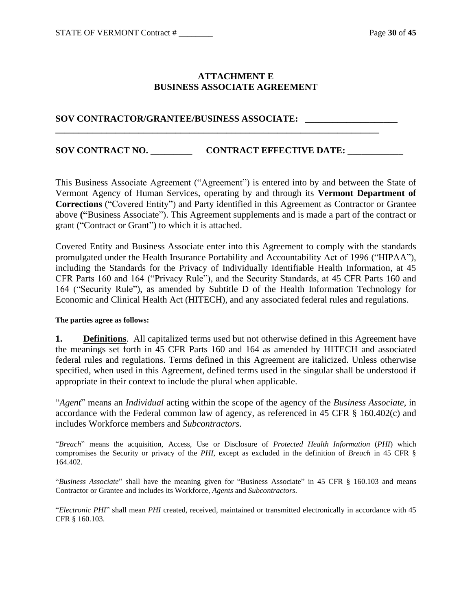### **ATTACHMENT E BUSINESS ASSOCIATE AGREEMENT**

### **SOV CONTRACTOR/GRANTEE/BUSINESS ASSOCIATE: \_\_\_\_\_\_\_\_\_\_\_\_\_\_\_\_\_\_\_\_**

### **SOV CONTRACT NO. \_\_\_\_\_\_\_\_\_ CONTRACT EFFECTIVE DATE: \_\_\_\_\_\_\_\_\_\_\_\_**

**\_\_\_\_\_\_\_\_\_\_\_\_\_\_\_\_\_\_\_\_\_\_\_\_\_\_\_\_\_\_\_\_\_\_\_\_\_\_\_\_\_\_\_\_\_\_\_\_\_\_\_\_\_\_\_\_\_\_\_\_\_\_\_\_\_\_\_\_\_\_**

This Business Associate Agreement ("Agreement") is entered into by and between the State of Vermont Agency of Human Services, operating by and through its **Vermont Department of Corrections** ("Covered Entity") and Party identified in this Agreement as Contractor or Grantee above **("**Business Associate"). This Agreement supplements and is made a part of the contract or grant ("Contract or Grant") to which it is attached.

Covered Entity and Business Associate enter into this Agreement to comply with the standards promulgated under the Health Insurance Portability and Accountability Act of 1996 ("HIPAA"), including the Standards for the Privacy of Individually Identifiable Health Information, at 45 CFR Parts 160 and 164 ("Privacy Rule"), and the Security Standards, at 45 CFR Parts 160 and 164 ("Security Rule"), as amended by Subtitle D of the Health Information Technology for Economic and Clinical Health Act (HITECH), and any associated federal rules and regulations.

#### **The parties agree as follows:**

**1. Definitions**. All capitalized terms used but not otherwise defined in this Agreement have the meanings set forth in 45 CFR Parts 160 and 164 as amended by HITECH and associated federal rules and regulations. Terms defined in this Agreement are italicized. Unless otherwise specified, when used in this Agreement, defined terms used in the singular shall be understood if appropriate in their context to include the plural when applicable.

"*Agent*" means an *Individual* acting within the scope of the agency of the *Business Associate*, in accordance with the Federal common law of agency, as referenced in 45 CFR § 160.402(c) and includes Workforce members and *Subcontractors*.

"*Breach*" means the acquisition, Access, Use or Disclosure of *Protected Health Information* (*PHI*) which compromises the Security or privacy of the *PHI*, except as excluded in the definition of *Breach* in 45 CFR § 164.402.

"*Business Associate*" shall have the meaning given for "Business Associate" in 45 CFR § 160.103 and means Contractor or Grantee and includes its Workforce, *Agents* and *Subcontractors*.

"*Electronic PHI*" shall mean *PHI* created, received, maintained or transmitted electronically in accordance with 45 CFR § 160.103.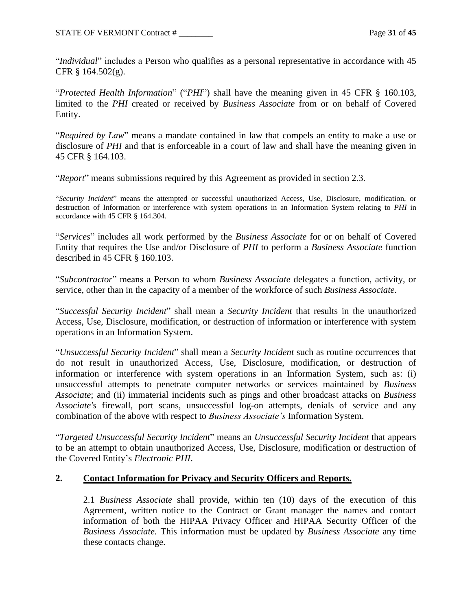"*Individual*" includes a Person who qualifies as a personal representative in accordance with 45 CFR § 164.502(g).

"*Protected Health Information*" ("*PHI*") shall have the meaning given in 45 CFR § 160.103, limited to the *PHI* created or received by *Business Associate* from or on behalf of Covered Entity.

"*Required by Law*" means a mandate contained in law that compels an entity to make a use or disclosure of *PHI* and that is enforceable in a court of law and shall have the meaning given in 45 CFR § 164.103.

"*Report*" means submissions required by this Agreement as provided in section 2.3.

"*Security Incident*" means the attempted or successful unauthorized Access, Use, Disclosure, modification, or destruction of Information or interference with system operations in an Information System relating to *PHI* in accordance with 45 CFR § 164.304.

"*Services*" includes all work performed by the *Business Associate* for or on behalf of Covered Entity that requires the Use and/or Disclosure of *PHI* to perform a *Business Associate* function described in 45 CFR § 160.103.

"*Subcontractor*" means a Person to whom *Business Associate* delegates a function, activity, or service, other than in the capacity of a member of the workforce of such *Business Associate*.

"*Successful Security Incident*" shall mean a *Security Incident* that results in the unauthorized Access, Use, Disclosure, modification, or destruction of information or interference with system operations in an Information System.

"*Unsuccessful Security Incident*" shall mean a *Security Incident* such as routine occurrences that do not result in unauthorized Access, Use, Disclosure, modification, or destruction of information or interference with system operations in an Information System, such as: (i) unsuccessful attempts to penetrate computer networks or services maintained by *Business Associate*; and (ii) immaterial incidents such as pings and other broadcast attacks on *Business Associate's* firewall, port scans, unsuccessful log-on attempts, denials of service and any combination of the above with respect to *Business Associate's* Information System.

"*Targeted Unsuccessful Security Incident*" means an *Unsuccessful Security Incident* that appears to be an attempt to obtain unauthorized Access, Use, Disclosure, modification or destruction of the Covered Entity's *Electronic PHI*.

### **2. Contact Information for Privacy and Security Officers and Reports.**

2.1 *Business Associate* shall provide, within ten (10) days of the execution of this Agreement, written notice to the Contract or Grant manager the names and contact information of both the HIPAA Privacy Officer and HIPAA Security Officer of the *Business Associate.* This information must be updated by *Business Associate* any time these contacts change.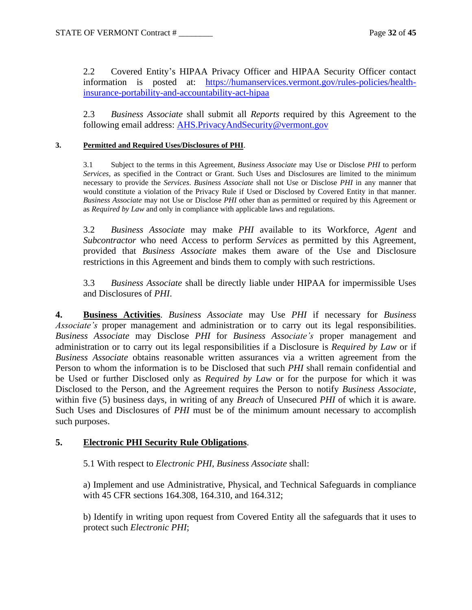2.2 Covered Entity's HIPAA Privacy Officer and HIPAA Security Officer contact information is posted at: [https://humanservices.vermont.gov/rules-policies/health](https://humanservices.vermont.gov/rules-policies/health-insurance-portability-and-accountability-act-hipaa)[insurance-portability-and-accountability-act-hipaa](https://humanservices.vermont.gov/rules-policies/health-insurance-portability-and-accountability-act-hipaa)

2.3 *Business Associate* shall submit all *Reports* required by this Agreement to the following email address: [AHS.PrivacyAndSecurity@vermont.gov](mailto:)

#### **3. Permitted and Required Uses/Disclosures of PHI**.

3.1 Subject to the terms in this Agreement, *Business Associate* may Use or Disclose *PHI* to perform *Services*, as specified in the Contract or Grant. Such Uses and Disclosures are limited to the minimum necessary to provide the *Services*. *Business Associate* shall not Use or Disclose *PHI* in any manner that would constitute a violation of the Privacy Rule if Used or Disclosed by Covered Entity in that manner. *Business Associate* may not Use or Disclose *PHI* other than as permitted or required by this Agreement or as *Required by Law* and only in compliance with applicable laws and regulations.

3.2 *Business Associate* may make *PHI* available to its Workforce, *Agent* and *Subcontractor* who need Access to perform *Services* as permitted by this Agreement, provided that *Business Associate* makes them aware of the Use and Disclosure restrictions in this Agreement and binds them to comply with such restrictions.

3.3 *Business Associate* shall be directly liable under HIPAA for impermissible Uses and Disclosures of *PHI*.

**4. Business Activities**. *Business Associate* may Use *PHI* if necessary for *Business Associate's* proper management and administration or to carry out its legal responsibilities. *Business Associate* may Disclose *PHI* for *Business Associate's* proper management and administration or to carry out its legal responsibilities if a Disclosure is *Required by Law* or if *Business Associate* obtains reasonable written assurances via a written agreement from the Person to whom the information is to be Disclosed that such *PHI* shall remain confidential and be Used or further Disclosed only as *Required by Law* or for the purpose for which it was Disclosed to the Person, and the Agreement requires the Person to notify *Business Associate*, within five (5) business days, in writing of any *Breach* of Unsecured *PHI* of which it is aware. Such Uses and Disclosures of *PHI* must be of the minimum amount necessary to accomplish such purposes.

#### **5. Electronic PHI Security Rule Obligations**.

5.1 With respect to *Electronic PHI*, *Business Associate* shall:

a) Implement and use Administrative, Physical, and Technical Safeguards in compliance with 45 CFR sections 164.308, 164.310, and 164.312;

b) Identify in writing upon request from Covered Entity all the safeguards that it uses to protect such *Electronic PHI*;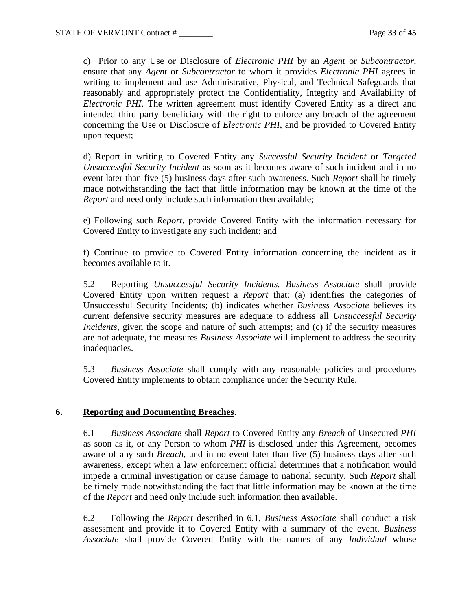c) Prior to any Use or Disclosure of *Electronic PHI* by an *Agent* or *Subcontractor*, ensure that any *Agent* or *Subcontractor* to whom it provides *Electronic PHI* agrees in writing to implement and use Administrative, Physical, and Technical Safeguards that reasonably and appropriately protect the Confidentiality, Integrity and Availability of *Electronic PHI*. The written agreement must identify Covered Entity as a direct and intended third party beneficiary with the right to enforce any breach of the agreement concerning the Use or Disclosure of *Electronic PHI*, and be provided to Covered Entity upon request;

d) Report in writing to Covered Entity any *Successful Security Incident* or *Targeted Unsuccessful Security Incident* as soon as it becomes aware of such incident and in no event later than five (5) business days after such awareness. Such *Report* shall be timely made notwithstanding the fact that little information may be known at the time of the *Report* and need only include such information then available;

e) Following such *Report*, provide Covered Entity with the information necessary for Covered Entity to investigate any such incident; and

f) Continue to provide to Covered Entity information concerning the incident as it becomes available to it.

5.2 Reporting *Unsuccessful Security Incidents. Business Associate* shall provide Covered Entity upon written request a *Report* that: (a) identifies the categories of Unsuccessful Security Incidents; (b) indicates whether *Business Associate* believes its current defensive security measures are adequate to address all *Unsuccessful Security Incidents*, given the scope and nature of such attempts; and (c) if the security measures are not adequate, the measures *Business Associate* will implement to address the security inadequacies.

5.3 *Business Associate* shall comply with any reasonable policies and procedures Covered Entity implements to obtain compliance under the Security Rule.

### **6. Reporting and Documenting Breaches**.

6.1 *Business Associate* shall *Report* to Covered Entity any *Breach* of Unsecured *PHI* as soon as it, or any Person to whom *PHI* is disclosed under this Agreement, becomes aware of any such *Breach*, and in no event later than five (5) business days after such awareness, except when a law enforcement official determines that a notification would impede a criminal investigation or cause damage to national security. Such *Report* shall be timely made notwithstanding the fact that little information may be known at the time of the *Report* and need only include such information then available.

6.2 Following the *Report* described in 6.1, *Business Associate* shall conduct a risk assessment and provide it to Covered Entity with a summary of the event. *Business Associate* shall provide Covered Entity with the names of any *Individual* whose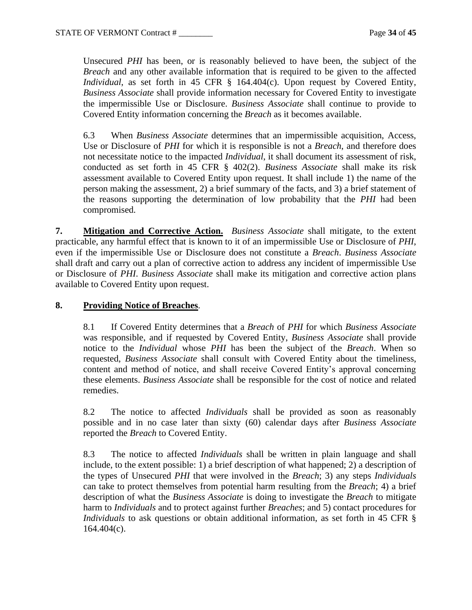Unsecured *PHI* has been, or is reasonably believed to have been, the subject of the *Breach* and any other available information that is required to be given to the affected *Individual*, as set forth in 45 CFR § 164.404(c). Upon request by Covered Entity, *Business Associate* shall provide information necessary for Covered Entity to investigate the impermissible Use or Disclosure. *Business Associate* shall continue to provide to Covered Entity information concerning the *Breach* as it becomes available.

6.3 When *Business Associate* determines that an impermissible acquisition, Access, Use or Disclosure of *PHI* for which it is responsible is not a *Breach*, and therefore does not necessitate notice to the impacted *Individual*, it shall document its assessment of risk, conducted as set forth in 45 CFR § 402(2). *Business Associate* shall make its risk assessment available to Covered Entity upon request. It shall include 1) the name of the person making the assessment, 2) a brief summary of the facts, and 3) a brief statement of the reasons supporting the determination of low probability that the *PHI* had been compromised.

**7. Mitigation and Corrective Action.** *Business Associate* shall mitigate, to the extent practicable, any harmful effect that is known to it of an impermissible Use or Disclosure of *PHI*, even if the impermissible Use or Disclosure does not constitute a *Breach*. *Business Associate* shall draft and carry out a plan of corrective action to address any incident of impermissible Use or Disclosure of *PHI*. *Business Associate* shall make its mitigation and corrective action plans available to Covered Entity upon request.

### **8. Providing Notice of Breaches**.

8.1 If Covered Entity determines that a *Breach* of *PHI* for which *Business Associate* was responsible, and if requested by Covered Entity, *Business Associate* shall provide notice to the *Individual* whose *PHI* has been the subject of the *Breach*. When so requested, *Business Associate* shall consult with Covered Entity about the timeliness, content and method of notice, and shall receive Covered Entity's approval concerning these elements. *Business Associate* shall be responsible for the cost of notice and related remedies.

8.2 The notice to affected *Individuals* shall be provided as soon as reasonably possible and in no case later than sixty (60) calendar days after *Business Associate* reported the *Breach* to Covered Entity.

8.3 The notice to affected *Individuals* shall be written in plain language and shall include, to the extent possible: 1) a brief description of what happened; 2) a description of the types of Unsecured *PHI* that were involved in the *Breach*; 3) any steps *Individuals* can take to protect themselves from potential harm resulting from the *Breach*; 4) a brief description of what the *Business Associate* is doing to investigate the *Breach* to mitigate harm to *Individuals* and to protect against further *Breaches*; and 5) contact procedures for *Individuals* to ask questions or obtain additional information, as set forth in 45 CFR §  $164.404(c)$ .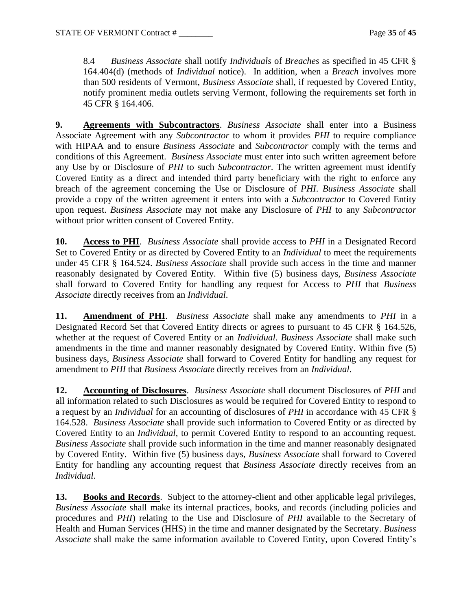8.4 *Business Associate* shall notify *Individuals* of *Breaches* as specified in 45 CFR § 164.404(d) (methods of *Individual* notice). In addition, when a *Breach* involves more than 500 residents of Vermont, *Business Associate* shall, if requested by Covered Entity, notify prominent media outlets serving Vermont, following the requirements set forth in 45 CFR § 164.406.

**9. Agreements with Subcontractors**. *Business Associate* shall enter into a Business Associate Agreement with any *Subcontractor* to whom it provides *PHI* to require compliance with HIPAA and to ensure *Business Associate* and *Subcontractor* comply with the terms and conditions of this Agreement. *Business Associate* must enter into such written agreement before any Use by or Disclosure of *PHI* to such *Subcontractor*. The written agreement must identify Covered Entity as a direct and intended third party beneficiary with the right to enforce any breach of the agreement concerning the Use or Disclosure of *PHI*. *Business Associate* shall provide a copy of the written agreement it enters into with a *Subcontractor* to Covered Entity upon request. *Business Associate* may not make any Disclosure of *PHI* to any *Subcontractor* without prior written consent of Covered Entity.

**10. Access to PHI**. *Business Associate* shall provide access to *PHI* in a Designated Record Set to Covered Entity or as directed by Covered Entity to an *Individual* to meet the requirements under 45 CFR § 164.524. *Business Associate* shall provide such access in the time and manner reasonably designated by Covered Entity. Within five (5) business days, *Business Associate* shall forward to Covered Entity for handling any request for Access to *PHI* that *Business Associate* directly receives from an *Individual*.

**11. Amendment of PHI**. *Business Associate* shall make any amendments to *PHI* in a Designated Record Set that Covered Entity directs or agrees to pursuant to 45 CFR § 164.526, whether at the request of Covered Entity or an *Individual*. *Business Associate* shall make such amendments in the time and manner reasonably designated by Covered Entity. Within five (5) business days, *Business Associate* shall forward to Covered Entity for handling any request for amendment to *PHI* that *Business Associate* directly receives from an *Individual*.

**12. Accounting of Disclosures**. *Business Associate* shall document Disclosures of *PHI* and all information related to such Disclosures as would be required for Covered Entity to respond to a request by an *Individual* for an accounting of disclosures of *PHI* in accordance with 45 CFR § 164.528. *Business Associate* shall provide such information to Covered Entity or as directed by Covered Entity to an *Individual*, to permit Covered Entity to respond to an accounting request. *Business Associate* shall provide such information in the time and manner reasonably designated by Covered Entity. Within five (5) business days, *Business Associate* shall forward to Covered Entity for handling any accounting request that *Business Associate* directly receives from an *Individual*.

**13. Books and Records**. Subject to the attorney-client and other applicable legal privileges, *Business Associate* shall make its internal practices, books, and records (including policies and procedures and *PHI*) relating to the Use and Disclosure of *PHI* available to the Secretary of Health and Human Services (HHS) in the time and manner designated by the Secretary. *Business Associate* shall make the same information available to Covered Entity, upon Covered Entity's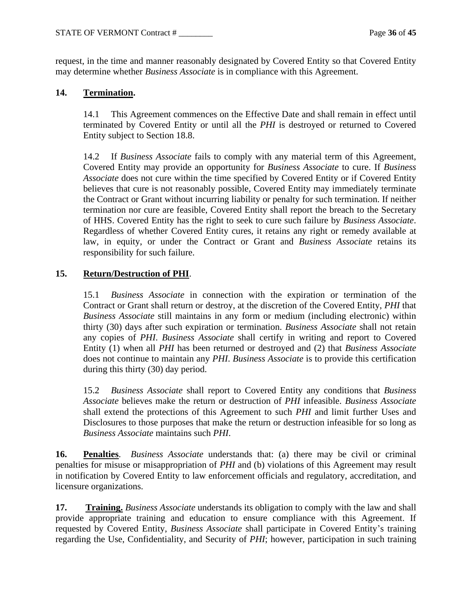request, in the time and manner reasonably designated by Covered Entity so that Covered Entity may determine whether *Business Associate* is in compliance with this Agreement.

## **14. Termination.**

14.1 This Agreement commences on the Effective Date and shall remain in effect until terminated by Covered Entity or until all the *PHI* is destroyed or returned to Covered Entity subject to Section 18.8.

14.2 If *Business Associate* fails to comply with any material term of this Agreement, Covered Entity may provide an opportunity for *Business Associate* to cure. If *Business Associate* does not cure within the time specified by Covered Entity or if Covered Entity believes that cure is not reasonably possible, Covered Entity may immediately terminate the Contract or Grant without incurring liability or penalty for such termination. If neither termination nor cure are feasible, Covered Entity shall report the breach to the Secretary of HHS. Covered Entity has the right to seek to cure such failure by *Business Associate*. Regardless of whether Covered Entity cures, it retains any right or remedy available at law, in equity, or under the Contract or Grant and *Business Associate* retains its responsibility for such failure.

## **15. Return/Destruction of PHI**.

15.1 *Business Associate* in connection with the expiration or termination of the Contract or Grant shall return or destroy, at the discretion of the Covered Entity, *PHI* that *Business Associate* still maintains in any form or medium (including electronic) within thirty (30) days after such expiration or termination. *Business Associate* shall not retain any copies of *PHI*. *Business Associate* shall certify in writing and report to Covered Entity (1) when all *PHI* has been returned or destroyed and (2) that *Business Associate* does not continue to maintain any *PHI*. *Business Associate* is to provide this certification during this thirty (30) day period.

15.2 *Business Associate* shall report to Covered Entity any conditions that *Business Associate* believes make the return or destruction of *PHI* infeasible. *Business Associate* shall extend the protections of this Agreement to such *PHI* and limit further Uses and Disclosures to those purposes that make the return or destruction infeasible for so long as *Business Associate* maintains such *PHI*.

**16. Penalties**. *Business Associate* understands that: (a) there may be civil or criminal penalties for misuse or misappropriation of *PHI* and (b) violations of this Agreement may result in notification by Covered Entity to law enforcement officials and regulatory, accreditation, and licensure organizations.

**17. Training.** *Business Associate* understands its obligation to comply with the law and shall provide appropriate training and education to ensure compliance with this Agreement. If requested by Covered Entity, *Business Associate* shall participate in Covered Entity's training regarding the Use, Confidentiality, and Security of *PHI*; however, participation in such training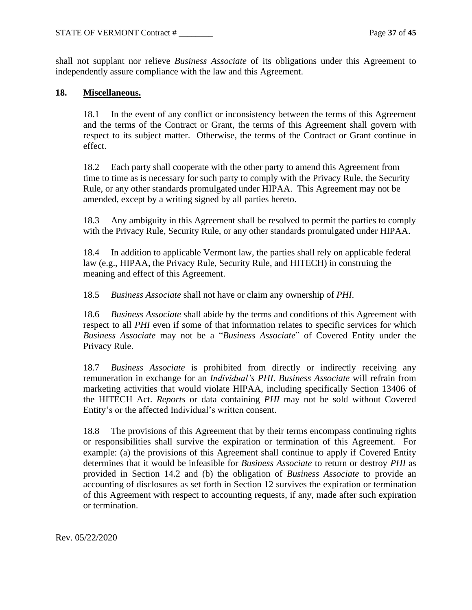shall not supplant nor relieve *Business Associate* of its obligations under this Agreement to independently assure compliance with the law and this Agreement.

### **18. Miscellaneous.**

18.1 In the event of any conflict or inconsistency between the terms of this Agreement and the terms of the Contract or Grant, the terms of this Agreement shall govern with respect to its subject matter. Otherwise, the terms of the Contract or Grant continue in effect.

18.2 Each party shall cooperate with the other party to amend this Agreement from time to time as is necessary for such party to comply with the Privacy Rule, the Security Rule, or any other standards promulgated under HIPAA. This Agreement may not be amended, except by a writing signed by all parties hereto.

18.3 Any ambiguity in this Agreement shall be resolved to permit the parties to comply with the Privacy Rule, Security Rule, or any other standards promulgated under HIPAA.

18.4 In addition to applicable Vermont law, the parties shall rely on applicable federal law (e.g., HIPAA, the Privacy Rule, Security Rule, and HITECH) in construing the meaning and effect of this Agreement.

18.5 *Business Associate* shall not have or claim any ownership of *PHI*.

18.6 *Business Associate* shall abide by the terms and conditions of this Agreement with respect to all *PHI* even if some of that information relates to specific services for which *Business Associate* may not be a "*Business Associate*" of Covered Entity under the Privacy Rule.

18.7 *Business Associate* is prohibited from directly or indirectly receiving any remuneration in exchange for an *Individual's PHI*. *Business Associate* will refrain from marketing activities that would violate HIPAA, including specifically Section 13406 of the HITECH Act. *Reports* or data containing *PHI* may not be sold without Covered Entity's or the affected Individual's written consent.

18.8 The provisions of this Agreement that by their terms encompass continuing rights or responsibilities shall survive the expiration or termination of this Agreement. For example: (a) the provisions of this Agreement shall continue to apply if Covered Entity determines that it would be infeasible for *Business Associate* to return or destroy *PHI* as provided in Section 14.2 and (b) the obligation of *Business Associate* to provide an accounting of disclosures as set forth in Section 12 survives the expiration or termination of this Agreement with respect to accounting requests, if any, made after such expiration or termination.

Rev. 05/22/2020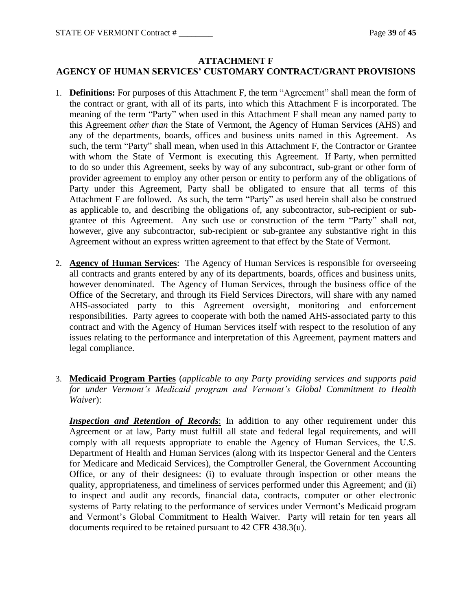## **ATTACHMENT F AGENCY OF HUMAN SERVICES' CUSTOMARY CONTRACT/GRANT PROVISIONS**

- 1. **Definitions:** For purposes of this Attachment F, the term "Agreement" shall mean the form of the contract or grant, with all of its parts, into which this Attachment F is incorporated. The meaning of the term "Party" when used in this Attachment F shall mean any named party to this Agreement *other than* the State of Vermont, the Agency of Human Services (AHS) and any of the departments, boards, offices and business units named in this Agreement. As such, the term "Party" shall mean, when used in this Attachment F, the Contractor or Grantee with whom the State of Vermont is executing this Agreement. If Party, when permitted to do so under this Agreement, seeks by way of any subcontract, sub-grant or other form of provider agreement to employ any other person or entity to perform any of the obligations of Party under this Agreement, Party shall be obligated to ensure that all terms of this Attachment F are followed. As such, the term "Party" as used herein shall also be construed as applicable to, and describing the obligations of, any subcontractor, sub-recipient or subgrantee of this Agreement. Any such use or construction of the term "Party" shall not, however, give any subcontractor, sub-recipient or sub-grantee any substantive right in this Agreement without an express written agreement to that effect by the State of Vermont.
- 2. **Agency of Human Services**: The Agency of Human Services is responsible for overseeing all contracts and grants entered by any of its departments, boards, offices and business units, however denominated. The Agency of Human Services, through the business office of the Office of the Secretary, and through its Field Services Directors, will share with any named AHS-associated party to this Agreement oversight, monitoring and enforcement responsibilities. Party agrees to cooperate with both the named AHS-associated party to this contract and with the Agency of Human Services itself with respect to the resolution of any issues relating to the performance and interpretation of this Agreement, payment matters and legal compliance.
- 3. **Medicaid Program Parties** (*applicable to any Party providing services and supports paid for under Vermont's Medicaid program and Vermont's Global Commitment to Health Waiver*):

*Inspection and Retention of Records*: In addition to any other requirement under this Agreement or at law, Party must fulfill all state and federal legal requirements, and will comply with all requests appropriate to enable the Agency of Human Services, the U.S. Department of Health and Human Services (along with its Inspector General and the Centers for Medicare and Medicaid Services), the Comptroller General, the Government Accounting Office, or any of their designees: (i) to evaluate through inspection or other means the quality, appropriateness, and timeliness of services performed under this Agreement; and (ii) to inspect and audit any records, financial data, contracts, computer or other electronic systems of Party relating to the performance of services under Vermont's Medicaid program and Vermont's Global Commitment to Health Waiver. Party will retain for ten years all documents required to be retained pursuant to 42 CFR 438.3(u).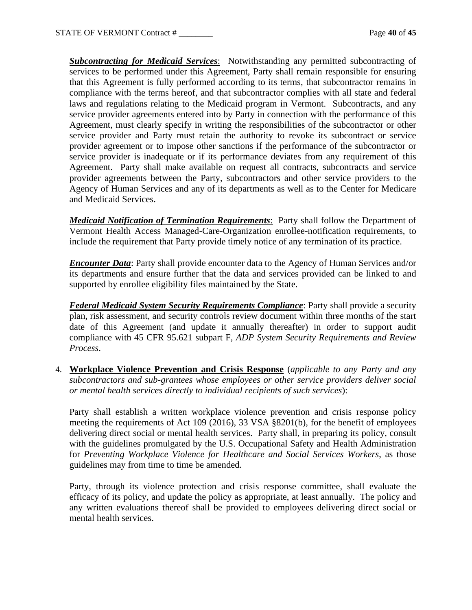*Subcontracting for Medicaid Services*: Notwithstanding any permitted subcontracting of services to be performed under this Agreement, Party shall remain responsible for ensuring that this Agreement is fully performed according to its terms, that subcontractor remains in compliance with the terms hereof, and that subcontractor complies with all state and federal laws and regulations relating to the Medicaid program in Vermont. Subcontracts, and any service provider agreements entered into by Party in connection with the performance of this Agreement, must clearly specify in writing the responsibilities of the subcontractor or other service provider and Party must retain the authority to revoke its subcontract or service provider agreement or to impose other sanctions if the performance of the subcontractor or service provider is inadequate or if its performance deviates from any requirement of this Agreement. Party shall make available on request all contracts, subcontracts and service provider agreements between the Party, subcontractors and other service providers to the Agency of Human Services and any of its departments as well as to the Center for Medicare and Medicaid Services.

*Medicaid Notification of Termination Requirements*: Party shall follow the Department of Vermont Health Access Managed-Care-Organization enrollee-notification requirements, to include the requirement that Party provide timely notice of any termination of its practice.

*Encounter Data*: Party shall provide encounter data to the Agency of Human Services and/or its departments and ensure further that the data and services provided can be linked to and supported by enrollee eligibility files maintained by the State.

*Federal Medicaid System Security Requirements Compliance*: Party shall provide a security plan, risk assessment, and security controls review document within three months of the start date of this Agreement (and update it annually thereafter) in order to support audit compliance with 45 CFR 95.621 subpart F, *ADP System Security Requirements and Review Process*.

4. **Workplace Violence Prevention and Crisis Response** (*applicable to any Party and any subcontractors and sub-grantees whose employees or other service providers deliver social or mental health services directly to individual recipients of such services*):

Party shall establish a written workplace violence prevention and crisis response policy meeting the requirements of Act 109 (2016), 33 VSA §8201(b), for the benefit of employees delivering direct social or mental health services. Party shall, in preparing its policy, consult with the guidelines promulgated by the U.S. Occupational Safety and Health Administration for *Preventing Workplace Violence for Healthcare and Social Services Workers*, as those guidelines may from time to time be amended.

Party, through its violence protection and crisis response committee, shall evaluate the efficacy of its policy, and update the policy as appropriate, at least annually. The policy and any written evaluations thereof shall be provided to employees delivering direct social or mental health services.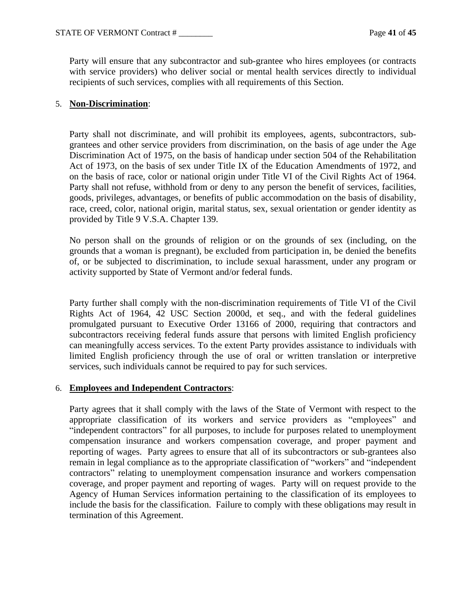Party will ensure that any subcontractor and sub-grantee who hires employees (or contracts with service providers) who deliver social or mental health services directly to individual recipients of such services, complies with all requirements of this Section.

### 5. **Non-Discrimination**:

Party shall not discriminate, and will prohibit its employees, agents, subcontractors, subgrantees and other service providers from discrimination, on the basis of age under the Age Discrimination Act of 1975, on the basis of handicap under section 504 of the Rehabilitation Act of 1973, on the basis of sex under Title IX of the Education Amendments of 1972, and on the basis of race, color or national origin under Title VI of the Civil Rights Act of 1964. Party shall not refuse, withhold from or deny to any person the benefit of services, facilities, goods, privileges, advantages, or benefits of public accommodation on the basis of disability, race, creed, color, national origin, marital status, sex, sexual orientation or gender identity as provided by Title 9 V.S.A. Chapter 139.

No person shall on the grounds of religion or on the grounds of sex (including, on the grounds that a woman is pregnant), be excluded from participation in, be denied the benefits of, or be subjected to discrimination, to include sexual harassment, under any program or activity supported by State of Vermont and/or federal funds.

Party further shall comply with the non-discrimination requirements of Title VI of the Civil Rights Act of 1964, 42 USC Section 2000d, et seq., and with the federal guidelines promulgated pursuant to Executive Order 13166 of 2000, requiring that contractors and subcontractors receiving federal funds assure that persons with limited English proficiency can meaningfully access services. To the extent Party provides assistance to individuals with limited English proficiency through the use of oral or written translation or interpretive services, such individuals cannot be required to pay for such services.

#### 6. **Employees and Independent Contractors**:

Party agrees that it shall comply with the laws of the State of Vermont with respect to the appropriate classification of its workers and service providers as "employees" and "independent contractors" for all purposes, to include for purposes related to unemployment compensation insurance and workers compensation coverage, and proper payment and reporting of wages. Party agrees to ensure that all of its subcontractors or sub-grantees also remain in legal compliance as to the appropriate classification of "workers" and "independent contractors" relating to unemployment compensation insurance and workers compensation coverage, and proper payment and reporting of wages. Party will on request provide to the Agency of Human Services information pertaining to the classification of its employees to include the basis for the classification. Failure to comply with these obligations may result in termination of this Agreement.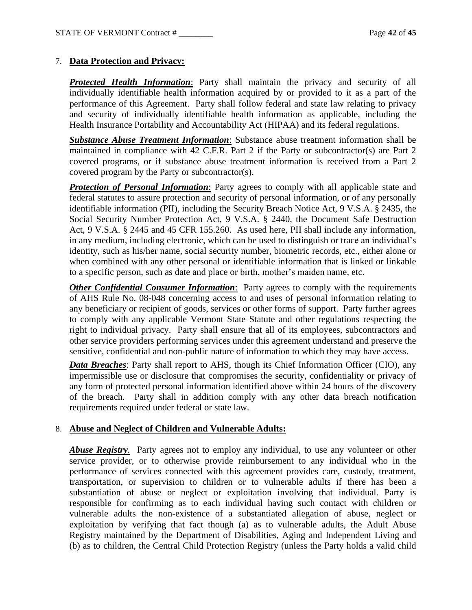## 7. **Data Protection and Privacy:**

*Protected Health Information*: Party shall maintain the privacy and security of all individually identifiable health information acquired by or provided to it as a part of the performance of this Agreement. Party shall follow federal and state law relating to privacy and security of individually identifiable health information as applicable, including the Health Insurance Portability and Accountability Act (HIPAA) and its federal regulations.

*Substance Abuse Treatment Information*: Substance abuse treatment information shall be maintained in compliance with 42 C.F.R. Part 2 if the Party or subcontractor(s) are Part 2 covered programs, or if substance abuse treatment information is received from a Part 2 covered program by the Party or subcontractor(s).

*Protection of Personal Information*: Party agrees to comply with all applicable state and federal statutes to assure protection and security of personal information, or of any personally identifiable information (PII), including the Security Breach Notice Act, 9 V.S.A. § 2435, the Social Security Number Protection Act, 9 V.S.A. § 2440, the Document Safe Destruction Act, 9 V.S.A. § 2445 and 45 CFR 155.260. As used here, PII shall include any information, in any medium, including electronic, which can be used to distinguish or trace an individual's identity, such as his/her name, social security number, biometric records, etc., either alone or when combined with any other personal or identifiable information that is linked or linkable to a specific person, such as date and place or birth, mother's maiden name, etc.

*Other Confidential Consumer Information:* Party agrees to comply with the requirements of AHS Rule No. 08-048 concerning access to and uses of personal information relating to any beneficiary or recipient of goods, services or other forms of support. Party further agrees to comply with any applicable Vermont State Statute and other regulations respecting the right to individual privacy. Party shall ensure that all of its employees, subcontractors and other service providers performing services under this agreement understand and preserve the sensitive, confidential and non-public nature of information to which they may have access.

*Data Breaches*: Party shall report to AHS, though its Chief Information Officer (CIO), any impermissible use or disclosure that compromises the security, confidentiality or privacy of any form of protected personal information identified above within 24 hours of the discovery of the breach. Party shall in addition comply with any other data breach notification requirements required under federal or state law.

## 8. **Abuse and Neglect of Children and Vulnerable Adults:**

*Abuse Registry.* Party agrees not to employ any individual, to use any volunteer or other service provider, or to otherwise provide reimbursement to any individual who in the performance of services connected with this agreement provides care, custody, treatment, transportation, or supervision to children or to vulnerable adults if there has been a substantiation of abuse or neglect or exploitation involving that individual. Party is responsible for confirming as to each individual having such contact with children or vulnerable adults the non-existence of a substantiated allegation of abuse, neglect or exploitation by verifying that fact though (a) as to vulnerable adults, the Adult Abuse Registry maintained by the Department of Disabilities, Aging and Independent Living and (b) as to children, the Central Child Protection Registry (unless the Party holds a valid child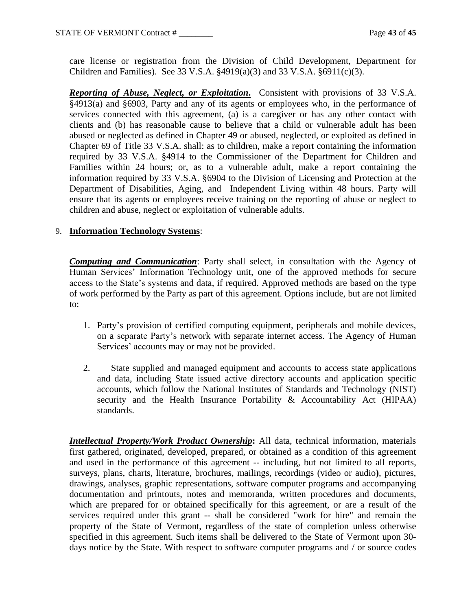care license or registration from the Division of Child Development, Department for Children and Families). See 33 V.S.A. §4919(a)(3) and 33 V.S.A. §6911(c)(3).

*Reporting of Abuse, Neglect, or Exploitation***.** Consistent with provisions of 33 V.S.A. §4913(a) and §6903, Party and any of its agents or employees who, in the performance of services connected with this agreement, (a) is a caregiver or has any other contact with clients and (b) has reasonable cause to believe that a child or vulnerable adult has been abused or neglected as defined in Chapter 49 or abused, neglected, or exploited as defined in Chapter 69 of Title 33 V.S.A. shall: as to children, make a report containing the information required by 33 V.S.A. §4914 to the Commissioner of the Department for Children and Families within 24 hours; or, as to a vulnerable adult, make a report containing the information required by 33 V.S.A. §6904 to the Division of Licensing and Protection at the Department of Disabilities, Aging, and Independent Living within 48 hours. Party will ensure that its agents or employees receive training on the reporting of abuse or neglect to children and abuse, neglect or exploitation of vulnerable adults.

### 9. **Information Technology Systems**:

*Computing and Communication*: Party shall select, in consultation with the Agency of Human Services' Information Technology unit, one of the approved methods for secure access to the State's systems and data, if required. Approved methods are based on the type of work performed by the Party as part of this agreement. Options include, but are not limited to:

- 1. Party's provision of certified computing equipment, peripherals and mobile devices, on a separate Party's network with separate internet access. The Agency of Human Services' accounts may or may not be provided.
- 2. State supplied and managed equipment and accounts to access state applications and data, including State issued active directory accounts and application specific accounts, which follow the National Institutes of Standards and Technology (NIST) security and the Health Insurance Portability & Accountability Act (HIPAA) standards.

**Intellectual Property/Work Product Ownership:** All data, technical information, materials first gathered, originated, developed, prepared, or obtained as a condition of this agreement and used in the performance of this agreement -- including, but not limited to all reports, surveys, plans, charts, literature, brochures, mailings, recordings (video or audio**)**, pictures, drawings, analyses, graphic representations, software computer programs and accompanying documentation and printouts, notes and memoranda, written procedures and documents, which are prepared for or obtained specifically for this agreement, or are a result of the services required under this grant -- shall be considered "work for hire" and remain the property of the State of Vermont, regardless of the state of completion unless otherwise specified in this agreement. Such items shall be delivered to the State of Vermont upon 30 days notice by the State. With respect to software computer programs and / or source codes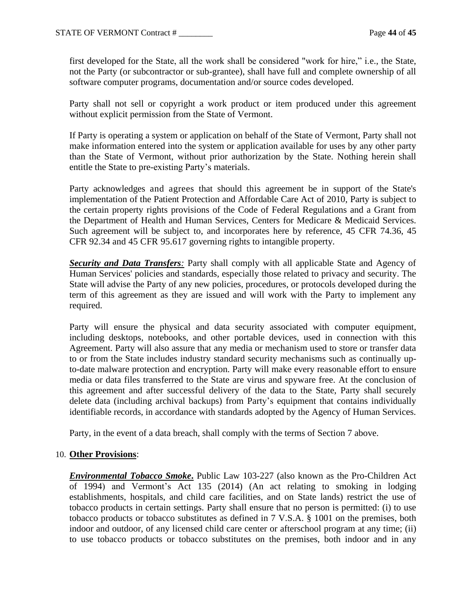first developed for the State, all the work shall be considered "work for hire," i.e., the State, not the Party (or subcontractor or sub-grantee), shall have full and complete ownership of all software computer programs, documentation and/or source codes developed.

Party shall not sell or copyright a work product or item produced under this agreement without explicit permission from the State of Vermont.

If Party is operating a system or application on behalf of the State of Vermont, Party shall not make information entered into the system or application available for uses by any other party than the State of Vermont, without prior authorization by the State. Nothing herein shall entitle the State to pre-existing Party's materials.

Party acknowledges and agrees that should this agreement be in support of the State's implementation of the Patient Protection and Affordable Care Act of 2010, Party is subject to the certain property rights provisions of the Code of Federal Regulations and a Grant from the Department of Health and Human Services, Centers for Medicare & Medicaid Services. Such agreement will be subject to, and incorporates here by reference, 45 CFR 74.36, 45 CFR 92.34 and 45 CFR 95.617 governing rights to intangible property.

*Security and Data Transfers:* Party shall comply with all applicable State and Agency of Human Services' policies and standards, especially those related to privacy and security. The State will advise the Party of any new policies, procedures, or protocols developed during the term of this agreement as they are issued and will work with the Party to implement any required.

Party will ensure the physical and data security associated with computer equipment, including desktops, notebooks, and other portable devices, used in connection with this Agreement. Party will also assure that any media or mechanism used to store or transfer data to or from the State includes industry standard security mechanisms such as continually upto-date malware protection and encryption. Party will make every reasonable effort to ensure media or data files transferred to the State are virus and spyware free. At the conclusion of this agreement and after successful delivery of the data to the State, Party shall securely delete data (including archival backups) from Party's equipment that contains individually identifiable records, in accordance with standards adopted by the Agency of Human Services.

Party, in the event of a data breach, shall comply with the terms of Section 7 above.

### 10. **Other Provisions**:

*Environmental Tobacco Smoke***.** Public Law 103-227 (also known as the Pro-Children Act of 1994) and Vermont's Act 135 (2014) (An act relating to smoking in lodging establishments, hospitals, and child care facilities, and on State lands) restrict the use of tobacco products in certain settings. Party shall ensure that no person is permitted: (i) to use tobacco products or tobacco substitutes as defined in 7 V.S.A. § 1001 on the premises, both indoor and outdoor, of any licensed child care center or afterschool program at any time; (ii) to use tobacco products or tobacco substitutes on the premises, both indoor and in any